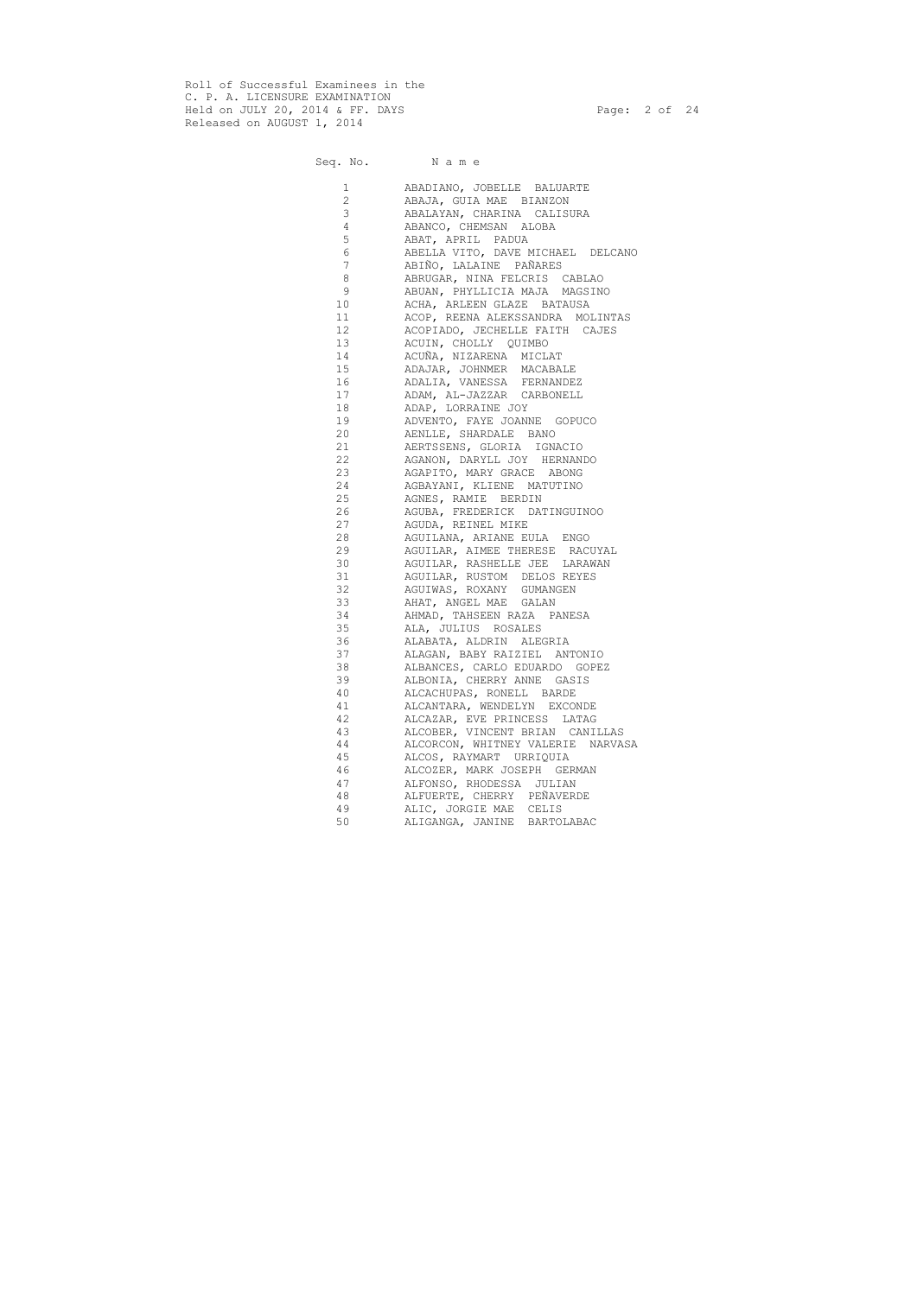Roll of Successful Examinees in the C. P. A. LICENSURE EXAMINATION Held on JULY 20, 2014 & FF. DAYS Page: 2 of 24 Released on AUGUST 1, 2014

Seq. No. Name

| $\mathbf 1$           | ABADIANO, JOBELLE BALUARTE        |
|-----------------------|-----------------------------------|
| $\mathbf{2}^{\prime}$ | ABAJA, GUIA MAE BIANZON           |
| 3                     | ABALAYAN, CHARINA CALISURA        |
|                       |                                   |
| $\overline{4}$        | ABANCO, CHEMSAN ALOBA             |
| 5                     | ABAT, APRIL PADUA                 |
| 6                     | ABELLA VITO, DAVE MICHAEL DELCANO |
| $7\overline{ }$       | ABIÑO, LALAINE PAÑARES            |
| 8                     | ABRUGAR, NINA FELCRIS CABLAO      |
| 9                     | ABUAN, PHYLLICIA MAJA MAGSINO     |
| 10                    | ACHA, ARLEEN GLAZE BATAUSA        |
| 11                    | ACOP, REENA ALEKSSANDRA MOLINTAS  |
| 12                    | ACOPIADO, JECHELLE FAITH CAJES    |
| 13                    | ACUIN, CHOLLY QUIMBO              |
| 14                    | ACUÑA, NIZARENA MICLAT            |
| 15                    | ADAJAR, JOHNMER MACABALE          |
| 16                    | ADALIA, VANESSA FERNANDEZ         |
| 17                    | ADAM, AL-JAZZAR CARBONELL         |
| 18                    | ADAP, LORRAINE JOY                |
| 19                    | ADVENTO, FAYE JOANNE GOPUCO       |
| 20                    | AENLLE, SHARDALE BANO             |
| 21                    | AERTSSENS, GLORIA IGNACIO         |
| 22                    | AGANON, DARYLL JOY HERNANDO       |
| 23                    | AGAPITO, MARY GRACE ABONG         |
| 24                    | AGBAYANI, KLIENE MATUTINO         |
|                       |                                   |
| 25                    | AGNES, RAMIE BERDIN               |
| 26                    | AGUBA, FREDERICK DATINGUINOO      |
| 27                    | AGUDA, REINEL MIKE                |
| 28                    | AGUILANA, ARIANE EULA ENGO        |
| 29                    | AGUILAR, AIMEE THERESE RACUYAL    |
| 30                    | AGUILAR, RASHELLE JEE LARAWAN     |
| 31                    | AGUILAR, RUSTOM DELOS REYES       |
| 32                    | AGUIWAS, ROXANY GUMANGEN          |
| 33                    | AHAT, ANGEL MAE GALAN             |
| 34                    | AHMAD, TAHSEEN RAZA PANESA        |
| 35                    | ALA, JULIUS ROSALES               |
| 36                    | ALABATA, ALDRIN ALEGRIA           |
| 37                    | ALAGAN, BABY RAIZIEL ANTONIO      |
| 38                    | ALBANCES, CARLO EDUARDO GOPEZ     |
| 39                    | ALBONIA, CHERRY ANNE GASIS        |
| 40                    | ALCACHUPAS, RONELL BARDE          |
| 41                    | ALCANTARA, WENDELYN EXCONDE       |
| 42                    | ALCAZAR, EVE PRINCESS LATAG       |
| 43                    | ALCOBER, VINCENT BRIAN CANILLAS   |
| 44                    | ALCORCON, WHITNEY VALERIE NARVASA |
| 45                    | ALCOS, RAYMART URRIQUIA           |
| 46                    | ALCOZER, MARK JOSEPH GERMAN       |
| 47                    |                                   |
|                       | ALFONSO, RHODESSA JULIAN          |
| 48                    | ALFUERTE, CHERRY PEÑAVERDE        |
| 49                    | ALIC, JORGIE MAE CELIS            |
| 50                    | ALIGANGA, JANINE BARTOLABAC       |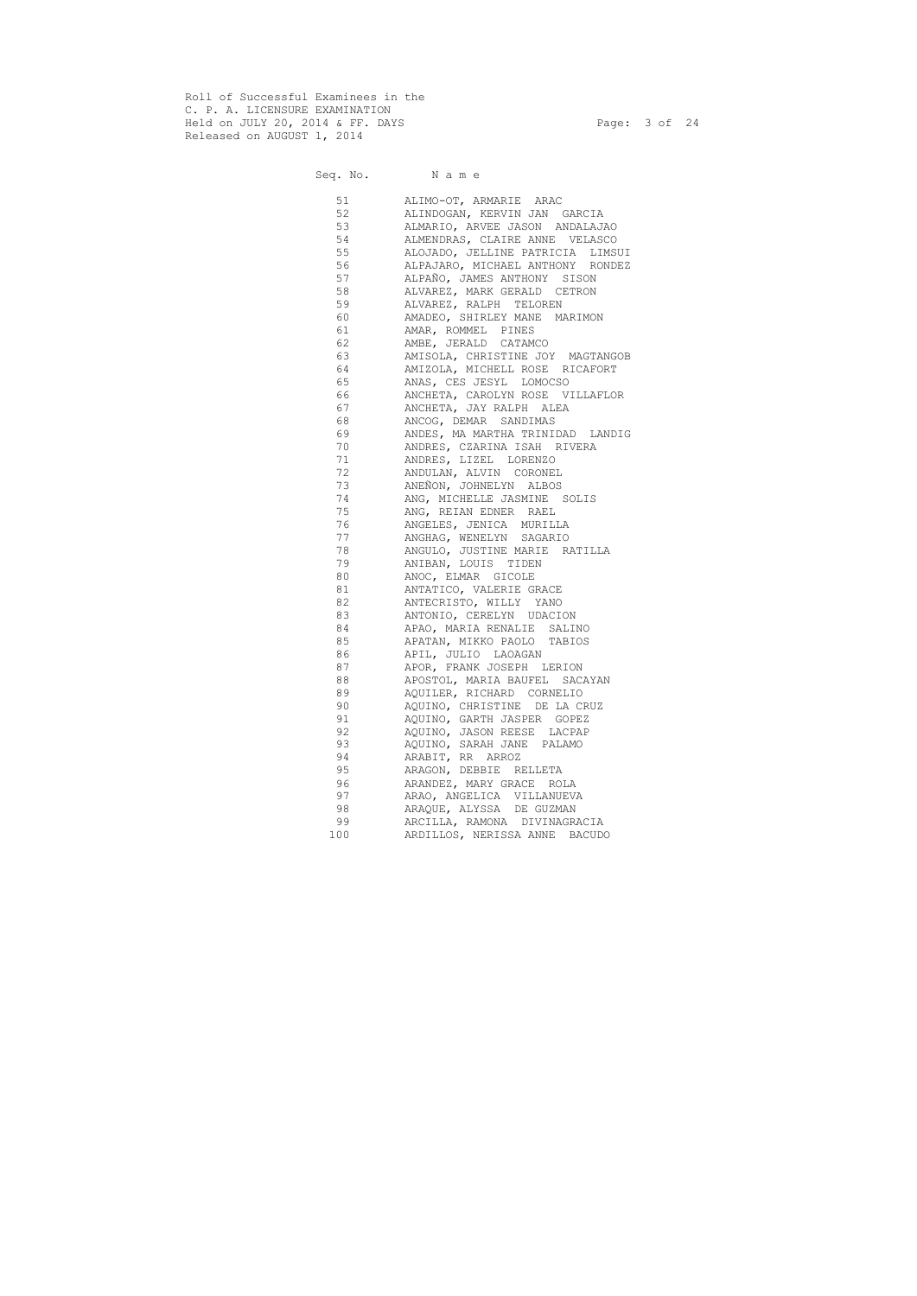Roll of Successful Examinees in the C. P. A. LICENSURE EXAMINATION Held on JULY 20, 2014 & FF. DAYS Page: 3 of 24 Released on AUGUST 1, 2014

Seq. No. Name 51 ALIMO-OT, ARMARIE ARAC 52 ALINDOGAN, KERVIN JAN GARCIA 53 ALMARIO, ARVEE JASON ANDALAJAO<br>54 ALMENDRAS, CLAIRE ANNE VELASCO ALMENDRAS, CLAIRE ANNE VELASCO 55 ALOJADO, JELLINE PATRICIA LIMSUI 56 ALPAJARO, MICHAEL ANTHONY RONDEZ 57 ALPAÑO, JAMES ANTHONY SISON 58 ALVAREZ, MARK GERALD CETRON 59 ALVAREZ, RALPH TELOREN 60 AMADEO, SHIRLEY MANE MARIMON 61 AMAR, ROMMEL PINES 62 AMBE, JERALD CATAMCO 63 AMISOLA, CHRISTINE JOY MAGTANGOB 64 AMIZOLA, MICHELL ROSE RICAFORT 65 ANAS, CES JESYL LOMOCSO 66 ANCHETA, CAROLYN ROSE VILLAFLOR 67 ANCHETA, JAY RALPH ALEA 68 ANCOG, DEMAR SANDIMAS 69 ANDES, MA MARTHA TRINIDAD LANDIG 70 ANDRES, CZARINA ISAH RIVERA 71 ANDRES, LIZEL LORENZO 72 ANDULAN, ALVIN CORONEL 73 ANEÑON, JOHNELYN ALBOS 74 ANG, MICHELLE JASMINE SOLIS 75 ANG, REIAN EDNER RAEL 76 ANGELES, JENICA MURILLA 77 ANGHAG, WENELYN SAGARIO 78 ANGULO, JUSTINE MARIE RATILLA 79 ANIBAN, LOUIS TIDEN 80 ANOC, ELMAR GICOLE 81 ANTATICO, VALERIE GRACE 82 ANTECRISTO, WILLY YANO 83 ANTONIO, CERELYN UDACION 84 APAO, MARIA RENALIE SALINO 85 APATAN, MIKKO PAOLO TABIOS 86 APIL, JULIO LAOAGAN 87 APOR, FRANK JOSEPH LERION 88 APOSTOL, MARIA BAUFEL SACAYAN 89 AQUILER, RICHARD CORNELIO 90 AQUINO, CHRISTINE DE LA CRUZ 91 AQUINO, GARTH JASPER GOPEZ 92 AQUINO, JASON REESE LACPAP 93 AQUINO, SARAH JANE PALAMO 94 ARABIT, RR ARROZ 95 ARAGON, DEBBIE RELLETA 96 ARANDEZ, MARY GRACE ROLA 97 ARAO, ANGELICA VILLANUEVA 98 ARAQUE, ALYSSA DE GUZMAN 99 ARCILLA, RAMONA DIVINAGRACIA

100 ARDILLOS, NERISSA ANNE BACUDO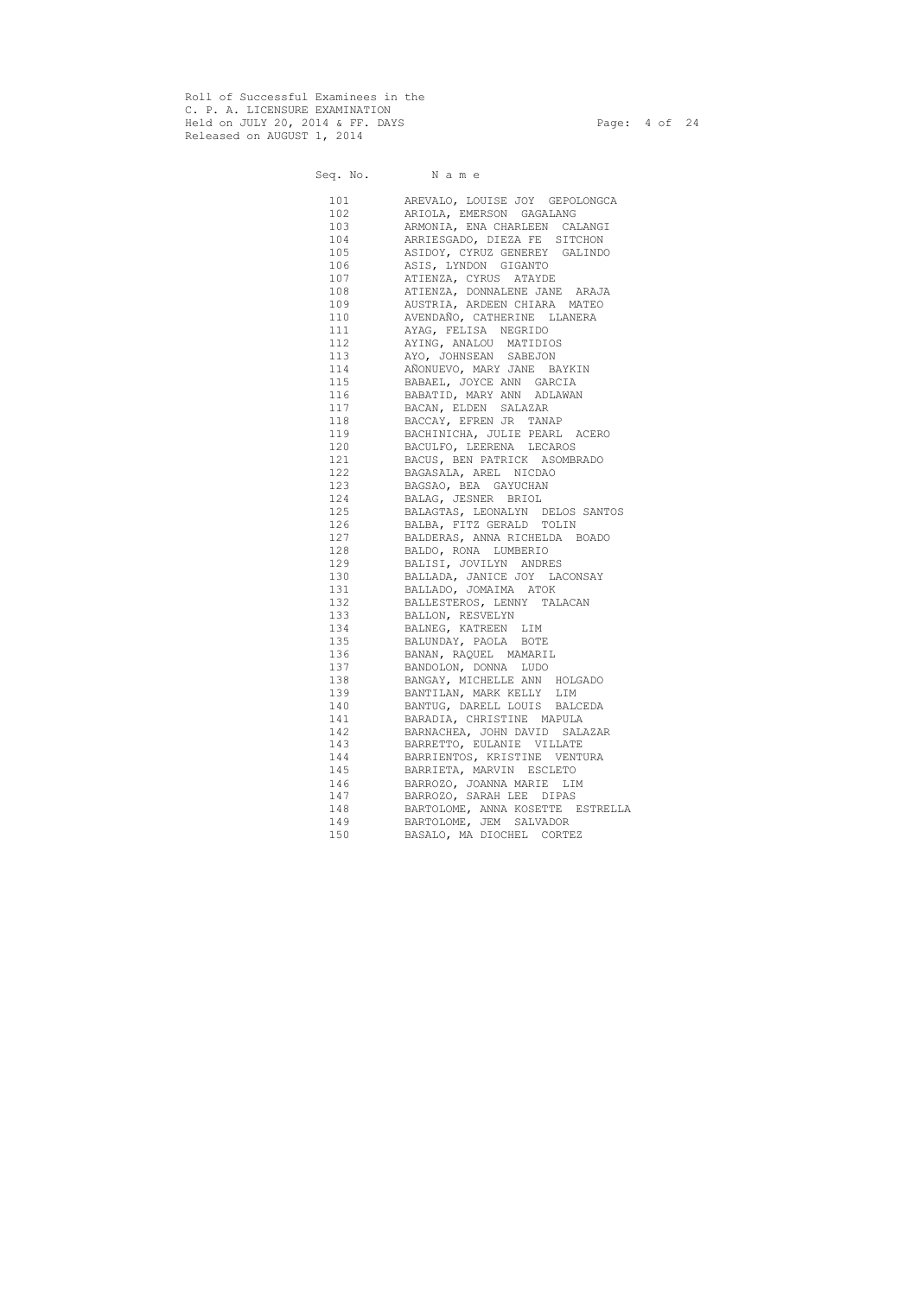Roll of Successful Examinees in the C. P. A. LICENSURE EXAMINATION Held on JULY 20, 2014 & FF. DAYS Page: 4 of 24 Released on AUGUST 1, 2014

# Seq. No. Name 101 AREVALO, LOUISE JOY GEPOLONGCA 102 ARIOLA, EMERSON GAGALANG 103 ARMONIA, ENA CHARLEEN CALANGI 104 ARRIESGADO, DIEZA FE SITCHON 105 ASIDOY, CYRUZ GENEREY GALINDO 106 ASIS, LYNDON GIGANTO 107 ATIENZA, CYRUS ATAYDE 108 ATIENZA, DONNALENE JANE ARAJA 109 AUSTRIA, ARDEEN CHIARA MATEO 110 AVENDAÑO, CATHERINE LLANERA 111 AYAG, FELISA NEGRIDO 112 AYING, ANALOU MATIDIOS 113 AYO, JOHNSEAN SABEJON 114 AÑONUEVO, MARY JANE BAYKIN 115 BABAEL, JOYCE ANN GARCIA 116 BABATID, MARY ANN ADLAWAN 117 BACAN, ELDEN SALAZAR 118 BACCAY, EFREN JR TANAP 119 BACHINICHA, JULIE PEARL ACERO 120 BACULFO, LEERENA LECAROS 121 BACUS, BEN PATRICK ASOMBRADO 122 BAGASALA, AREL NICDAO 123 BAGSAO, BEA GAYUCHAN 124 BALAG, JESNER BRIOL 125 BALAGTAS, LEONALYN DELOS SANTOS 126 BALBA, FITZ GERALD TOLIN 127 BALDERAS, ANNA RICHELDA BOADO 128 BALDO, RONA LUMBERIO 129 BALISI, JOVILYN ANDRES 130 BALLADA, JANICE JOY LACONSAY 131 BALLADO, JOMAIMA ATOK 132 BALLESTEROS, LENNY TALACAN 133 BALLON, RESVELYN 134 BALNEG, KATREEN LIM 135 BALUNDAY, PAOLA BOTE 136 BANAN, RAQUEL MAMARIL 137 BANDOLON, DONNA LUDO 138 BANGAY, MICHELLE ANN HOLGADO 139 BANTILAN, MARK KELLY LIM 140 BANTUG, DARELL LOUIS BALCEDA 141 BARADIA, CHRISTINE MAPULA 142 BARNACHEA, JOHN DAVID SALAZAR 143 BARRETTO, EULANIE VILLATE 144 BARRIENTOS, KRISTINE VENTURA 145 BARRIETA, MARVIN ESCLETO 146 BARROZO, JOANNA MARIE LIM 147 BARROZO, SARAH LEE DIPAS 148 BARTOLOME, ANNA KOSETTE ESTRELLA 149 BARTOLOME, JEM SALVADOR 150 BASALO, MA DIOCHEL CORTEZ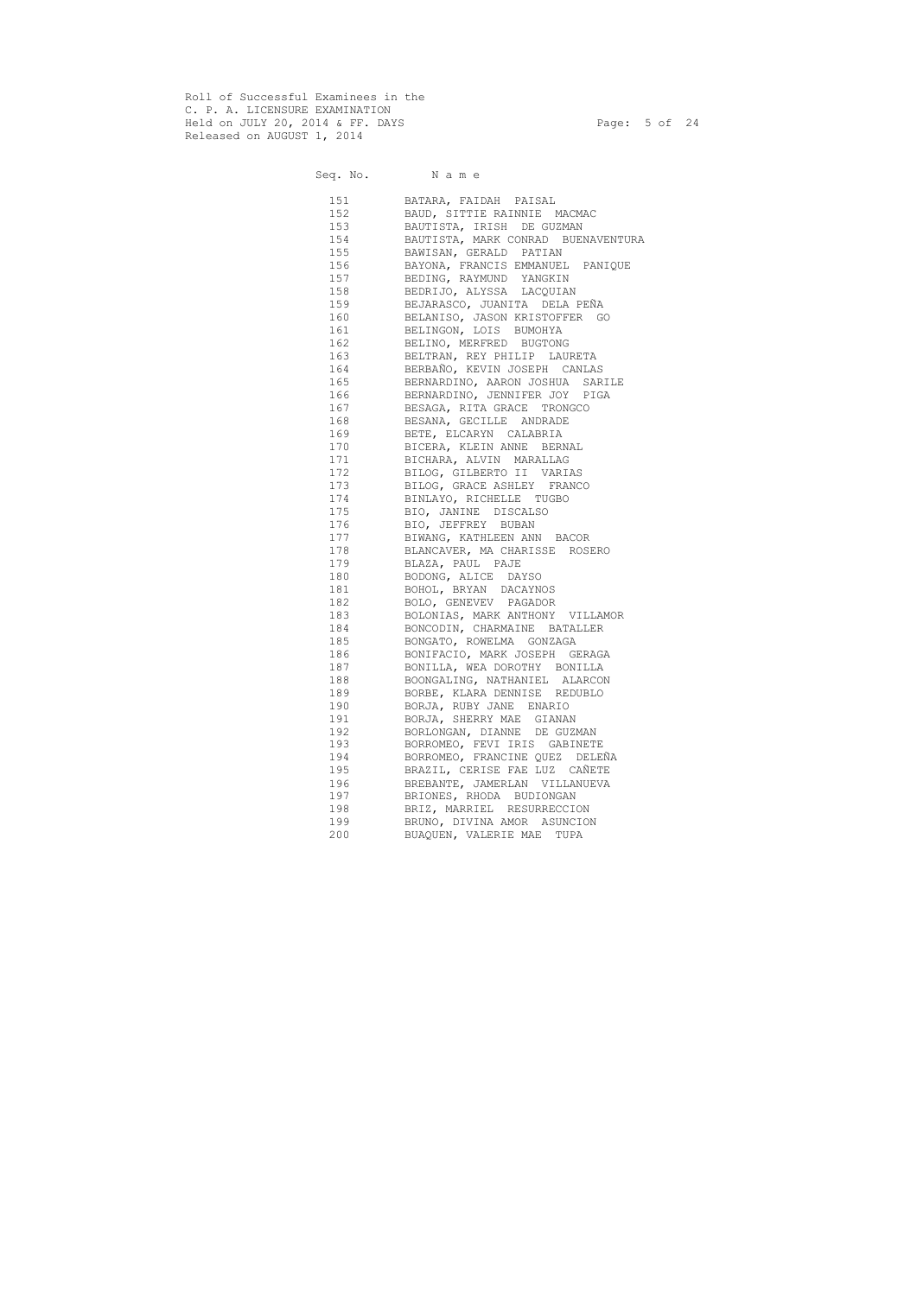Roll of Successful Examinees in the C. P. A. LICENSURE EXAMINATION Held on JULY 20, 2014 & FF. DAYS Page: 5 of 24 Released on AUGUST 1, 2014

Seq. No. Name

 151 BATARA, FAIDAH PAISAL 152 BAUD, SITTIE RAINNIE MACMAC 153 BAUTISTA, IRISH DE GUZMAN 154 BAUTISTA, MARK CONRAD BUENAVENTURA 155 BAWISAN, GERALD PATIAN 156 BAYONA, FRANCIS EMMANUEL PANIQUE 157 BEDING, RAYMUND YANGKIN 158 BEDRIJO, ALYSSA LACQUIAN 159 BEJARASCO, JUANITA DELA PEÑA 160 BELANISO, JASON KRISTOFFER GO 161 BELINGON, LOIS BUMOHYA 162 BELINO, MERFRED BUGTONG 163 BELTRAN, REY PHILIP LAURETA 164 BERBAÑO, KEVIN JOSEPH CANLAS 165 BERNARDINO, AARON JOSHUA SARILE 166 BERNARDINO, JENNIFER JOY PIGA 167 BESAGA, RITA GRACE TRONGCO 168 BESANA, GECILLE ANDRADE 169 BETE, ELCARYN CALABRIA 170 BICERA, KLEIN ANNE BERNAL 171 BICHARA, ALVIN MARALLAG 172 BILOG, GILBERTO II VARIAS 173 BILOG, GRACE ASHLEY FRANCO 174 BINLAYO, RICHELLE TUGBO 175 BIO, JANINE DISCALSO 176 BIO, JEFFREY BUBAN 177 BIWANG, KATHLEEN ANN BACOR 178 BLANCAVER, MA CHARISSE ROSERO 179 BLAZA, PAUL PAJE 180 BODONG, ALICE DAYSO 181 BOHOL, BRYAN DACAYNOS 182 BOLO, GENEVEV PAGADOR 183 BOLONIAS, MARK ANTHONY VILLAMOR 184 BONCODIN, CHARMAINE BATALLER 185 BONGATO, ROWELMA GONZAGA 186 BONIFACIO, MARK JOSEPH GERAGA 187 BONILLA, WEA DOROTHY BONILLA 188 BOONGALING, NATHANIEL ALARCON 189 BORBE, KLARA DENNISE REDUBLO 190 BORJA, RUBY JANE ENARIO 191 BORJA, SHERRY MAE GIANAN 192 BORLONGAN, DIANNE DE GUZMAN 193 BORROMEO, FEVI IRIS GABINETE 194 BORROMEO, FRANCINE QUEZ DELEÑA 195 BRAZIL, CERISE FAE LUZ CAÑETE 196 BREBANTE, JAMERLAN VILLANUEVA 197 BRIONES, RHODA BUDIONGAN 198 BRIZ, MARRIEL RESURRECCION 199 BRUNO, DIVINA AMOR ASUNCION 200 BUAQUEN, VALERIE MAE TUPA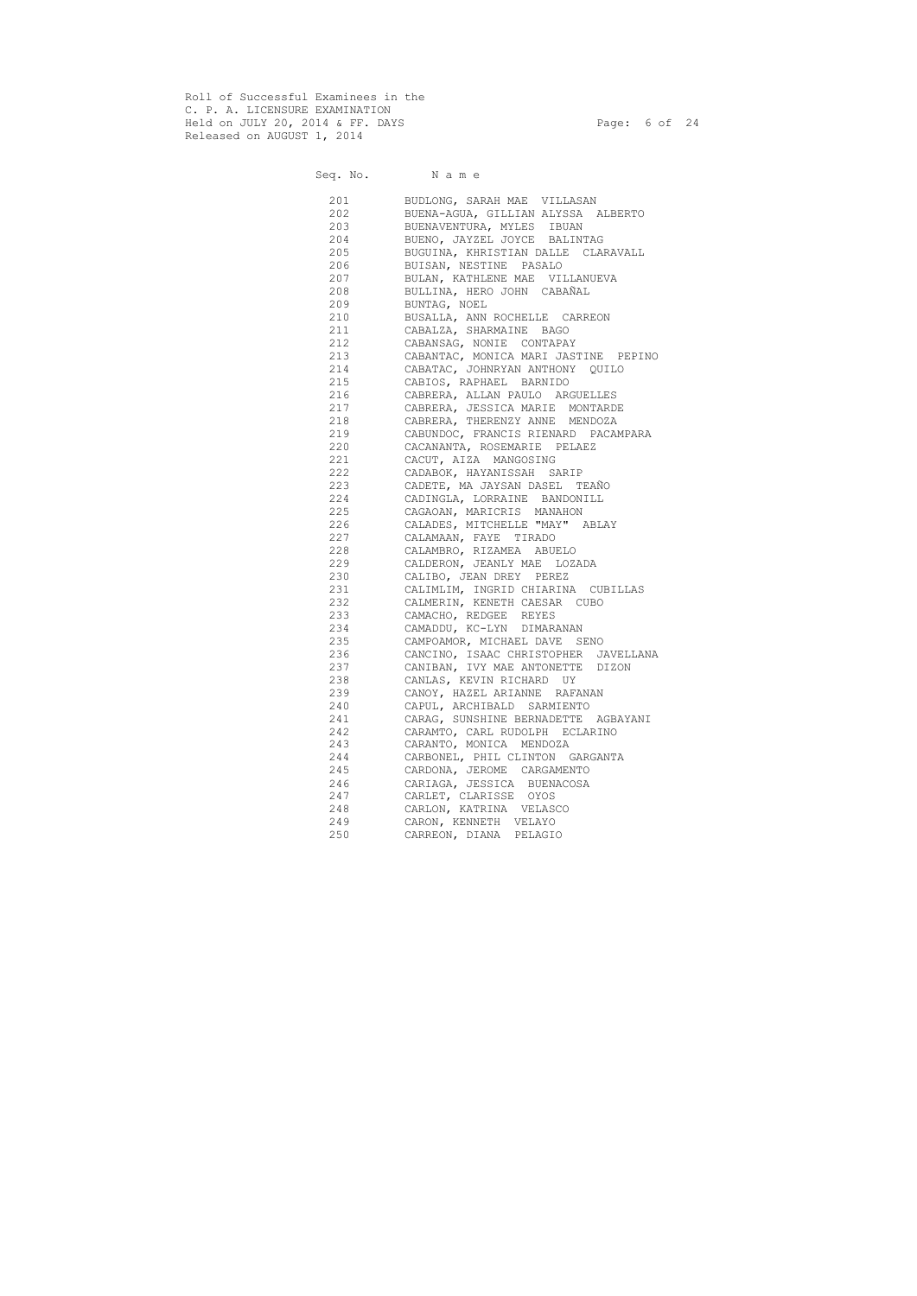Roll of Successful Examinees in the C. P. A. LICENSURE EXAMINATION Held on JULY 20, 2014 & FF. DAYS Page: 6 of 24 Released on AUGUST 1, 2014

# Seq. No. Name 201 BUDLONG, SARAH MAE VILLASAN 202 BUENA-AGUA, GILLIAN ALYSSA ALBERTO 203 BUENAVENTURA, MYLES IBUAN 204 BUENO, JAYZEL JOYCE BALINTAG 205 BUGUINA, KHRISTIAN DALLE CLARAVALL 206 BUISAN, NESTINE PASALO 207 BULAN, KATHLENE MAE VILLANUEVA 208 BULLINA, HERO JOHN CABAÑAL 209 BUNTAG, NOEL 210 BUSALLA, ANN ROCHELLE CARREON 211 CABALZA, SHARMAINE BAGO 212 CABANSAG, NONIE CONTAPAY 213 CABANTAC, MONICA MARI JASTINE PEPINO 214 CABATAC, JOHNRYAN ANTHONY QUILO 215 CABIOS, RAPHAEL BARNIDO 216 CABRERA, ALLAN PAULO ARGUELLES 217 CABRERA, JESSICA MARIE MONTARDE 218 CABRERA, THERENZY ANNE MENDOZA 219 CABUNDOC, FRANCIS RIENARD PACAMPARA 220 CACANANTA, ROSEMARIE PELAEZ 221 CACUT, AIZA MANGOSING 222 CADABOK, HAYANISSAH SARIP 223 CADETE, MA JAYSAN DASEL TEAÑO 224 CADINGLA, LORRAINE BANDONILL 225 CAGAOAN, MARICRIS MANAHON 226 CALADES, MITCHELLE "MAY" ABLAY 227 CALAMAAN, FAYE TIRADO 228 CALAMBRO, RIZAMEA ABUELO 229 CALDERON, JEANLY MAE LOZADA 230 CALIBO, JEAN DREY PEREZ 231 CALIMLIM, INGRID CHIARINA CUBILLAS 232 CALMERIN, KENETH CAESAR CUBO 233 CAMACHO, REDGEE REYES 234 CAMADDU, KC-LYN DIMARANAN 235 CAMPOAMOR, MICHAEL DAVE SENO 236 CANCINO, ISAAC CHRISTOPHER JAVELLANA 237 CANIBAN, IVY MAE ANTONETTE DIZON 238 CANLAS, KEVIN RICHARD UY 239 CANOY, HAZEL ARIANNE RAFANAN 240 CAPUL, ARCHIBALD SARMIENTO 241 CARAG, SUNSHINE BERNADETTE AGBAYANI 242 CARAMTO, CARL RUDOLPH ECLARINO 243 CARANTO, MONICA MENDOZA 244 CARBONEL, PHIL CLINTON GARGANTA 245 CARDONA, JEROME CARGAMENTO 246 CARIAGA, JESSICA BUENACOSA 247 CARLET, CLARISSE OYOS 248 CARLON, KATRINA VELASCO 249 CARON, KENNETH VELAYO 250 CARREON, DIANA PELAGIO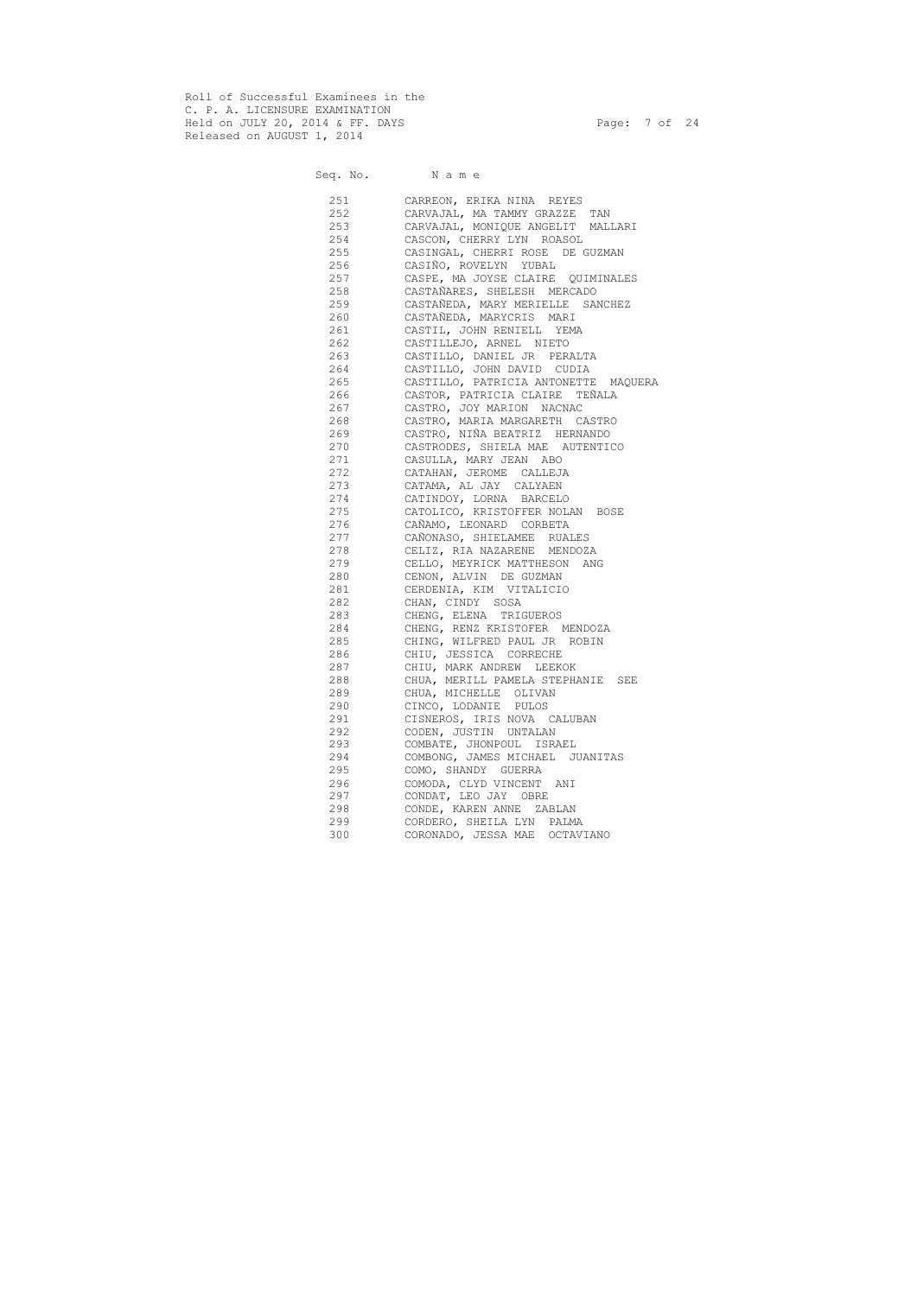Roll of Successful Examinees in the C. P. A. LICENSURE EXAMINATION Held on JULY 20, 2014 & FF. DAYS Page: 7 of 24 Released on AUGUST 1, 2014

# Seq. No. Name 251 CARREON, ERIKA NINA REYES 252 CARVAJAL, MA TAMMY GRAZZE TAN 253 CARVAJAL, MONIQUE ANGELIT MALLARI 254 CASCON, CHERRY LYN ROASOL 255 CASINGAL, CHERRI ROSE DE GUZMAN 256 CASIÑO, ROVELYN YUBAL 257 CASPE, MA JOYSE CLAIRE QUIMINALES 258 CASTAÑARES, SHELESH MERCADO 259 CASTAÑEDA, MARY MERIELLE SANCHEZ 260 CASTAÑEDA, MARYCRIS MARI 261 CASTIL, JOHN RENIELL YEMA 262 CASTILLEJO, ARNEL NIETO 263 CASTILLO, DANIEL JR PERALTA 264 CASTILLO, JOHN DAVID CUDIA 265 CASTILLO, PATRICIA ANTONETTE MAQUERA 266 CASTOR, PATRICIA CLAIRE TEÑALA 267 CASTRO, JOY MARION NACNAC 268 CASTRO, MARIA MARGARETH CASTRO 269 CASTRO, NIÑA BEATRIZ HERNANDO 270 CASTRODES, SHIELA MAE AUTENTICO 271 CASULLA, MARY JEAN ABO 272 CATAHAN, JEROME CALLEJA 273 CATAMA, AL JAY CALYAEN 274 CATINDOY, LORNA BARCELO 275 CATOLICO, KRISTOFFER NOLAN BOSE 276 CAÑAMO, LEONARD CORBETA 277 CAÑONASO, SHIELAMEE RUALES 278 CELIZ, RIA NAZARENE MENDOZA 279 CELLO, MEYRICK MATTHESON ANG 280 CENON, ALVIN DE GUZMAN 281 CERDENIA, KIM VITALICIO 282 CHAN, CINDY SOSA 283 CHENG, ELENA TRIGUEROS 284 CHENG, RENZ KRISTOFER MENDOZA 285 CHING, WILFRED PAUL JR ROBIN 286 CHIU, JESSICA CORRECHE 287 CHIU, MARK ANDREW LEEKOK CHUA, MERILL PAMELA STEPHANIE SEE 289 CHUA, MICHELLE OLIVAN 290 CINCO, LODANIE PULOS 291 CISNEROS, IRIS NOVA CALUBAN 292 CODEN, JUSTIN UNTALAN 293 COMBATE, JHONPOUL ISRAEL 294 COMBONG, JAMES MICHAEL JUANITAS 295 COMO, SHANDY GUERRA 296 COMODA, CLYD VINCENT ANI 297 CONDAT, LEO JAY OBRE 298 CONDE, KAREN ANNE ZABLAN 299 CORDERO, SHEILA LYN PALMA 300 CORONADO, JESSA MAE OCTAVIANO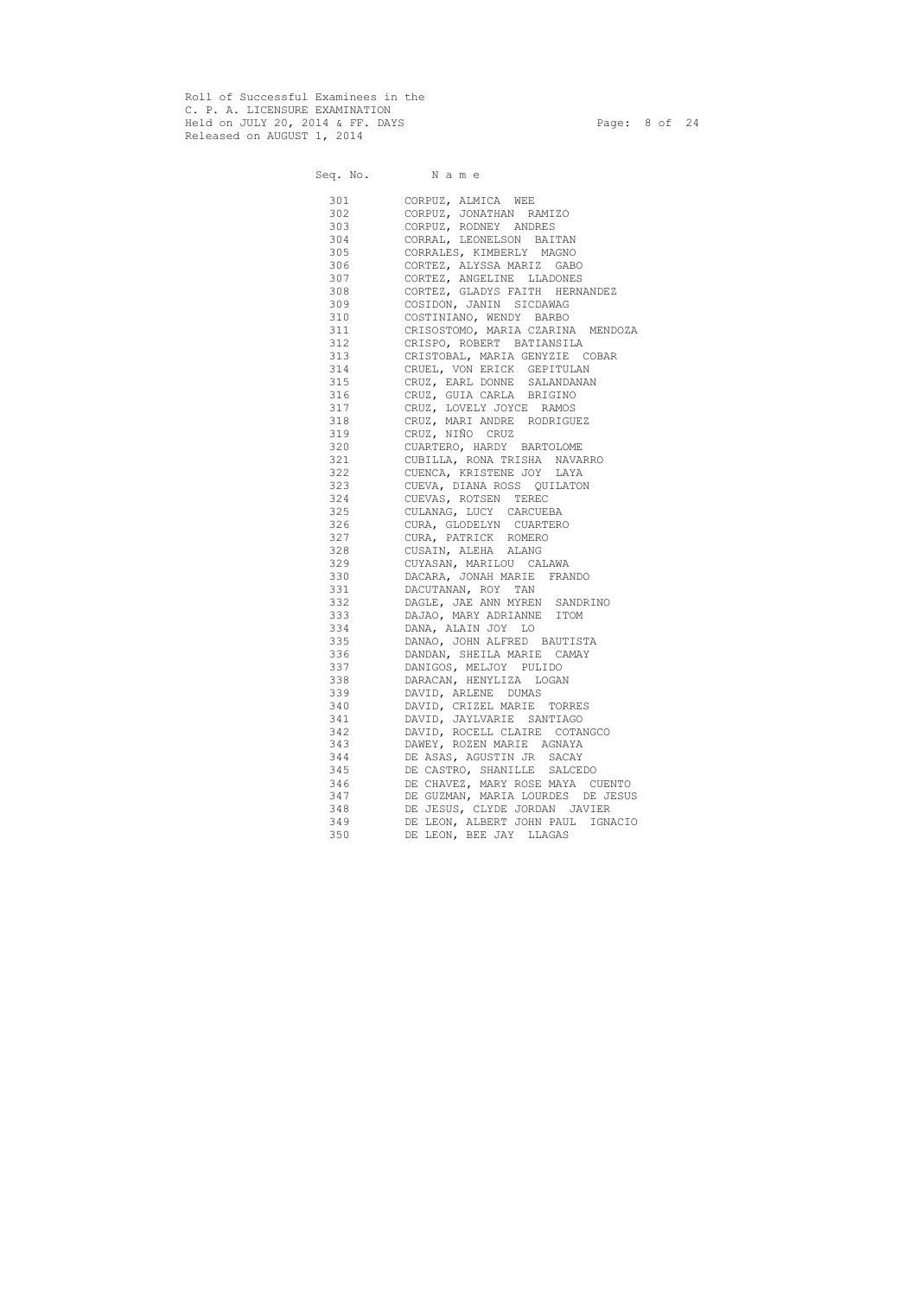Roll of Successful Examinees in the C. P. A. LICENSURE EXAMINATION Held on JULY 20, 2014 & FF. DAYS Page: 8 of 24 Released on AUGUST 1, 2014

|            | Seq. No. Name                                    |
|------------|--------------------------------------------------|
| 301        | CORPUZ, ALMICA WEE                               |
| 302        | CORPUZ, JONATHAN RAMIZO                          |
| 303        | CORPUZ, RODNEY ANDRES                            |
| 304        | CORRAL, LEONELSON BAITAN                         |
| 305        | CORRALES, KIMBERLY MAGNO                         |
| 306        | CORTEZ, ALYSSA MARIZ GABO                        |
| 307        | CORTEZ, ANGELINE LLADONES                        |
| 308        | CORTEZ, GLADYS FAITH HERNANDEZ                   |
| 309        | COSIDON, JANIN SICDAWAG                          |
| 310        | COSTINIANO, WENDY BARBO                          |
| 311        | CRISOSTOMO, MARIA CZARINA MENDOZA                |
| 312        | CRISPO, ROBERT BATIANSILA                        |
| 313        | CRISTOBAL, MARIA GENYZIE COBAR                   |
| 314        | CRUEL, VON ERICK GEPITULAN                       |
| 315        | CRUZ, EARL DONNE SALANDANAN                      |
| 316        | CRUZ, GUIA CARLA BRIGINO                         |
| 317        | CRUZ, LOVELY JOYCE RAMOS                         |
| 318        | CRUZ, MARI ANDRE RODRIGUEZ                       |
| 319        | CRUZ, NIÑO CRUZ                                  |
| 320        | CUARTERO, HARDY BARTOLOME                        |
| 321        | CUBILLA, RONA TRISHA NAVARRO                     |
| 322        | CUENCA, KRISTENE JOY LAYA                        |
| 323        | CUEVA, DIANA ROSS QUILATON                       |
| 324        | CUEVAS, ROTSEN TEREC                             |
| 325        | CULANAG, LUCY CARCUEBA                           |
| 326        | CURA, GLODELYN CUARTERO                          |
| 327        | CURA, PATRICK ROMERO                             |
| 328        | CUSAIN, ALEHA ALANG                              |
| 329        | CUYASAN, MARILOU CALAWA                          |
| 330<br>331 | DACARA, JONAH MARIE FRANDO<br>DACUTANAN, ROY TAN |
| 332        | DAGLE, JAE ANN MYREN SANDRINO                    |
| 333        | DAJAO, MARY ADRIANNE<br>ITOM                     |
| 334        | DANA, ALAIN JOY LO                               |
| 335        | DANAO, JOHN ALFRED BAUTISTA                      |
| 336        | DANDAN, SHEILA MARIE CAMAY                       |
| 337        | DANIGOS, MELJOY PULIDO                           |
| 338        | DARACAN, HENYLIZA LOGAN                          |
| 339        | DAVID, ARLENE DUMAS                              |
| 340        | DAVID, CRIZEL MARIE<br>TORRES                    |
| 341        | DAVID, JAYLVARIE SANTIAGO                        |
| 342        | DAVID, ROCELL CLAIRE COTANGCO                    |
| 343        | DAWEY, ROZEN MARIE AGNAYA                        |
| 344        | DE ASAS, AGUSTIN JR SACAY                        |
| 345        | DE CASTRO, SHANILLE SALCEDO                      |
| 346        | DE CHAVEZ, MARY ROSE MAYA CUENTO                 |
| 347        | DE GUZMAN, MARIA LOURDES DE JESUS                |
| 348        | DE JESUS, CLYDE JORDAN JAVIER                    |
| 349        | DE LEON, ALBERT JOHN PAUL IGNACIO                |
| 350        | DE LEON, BEE JAY LLAGAS                          |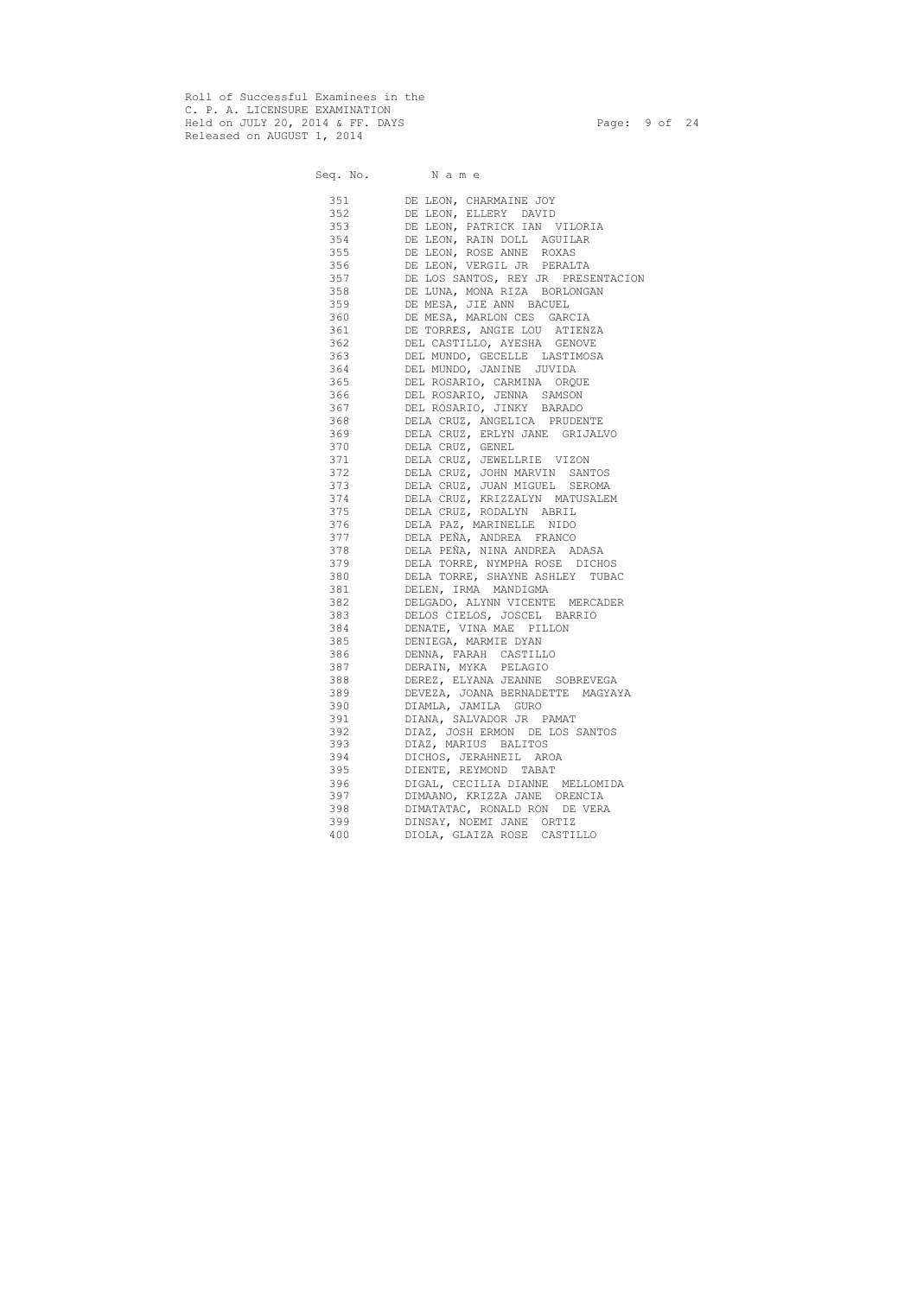Roll of Successful Examinees in the C. P. A. LICENSURE EXAMINATION Held on JULY 20, 2014 & FF. DAYS Page: 9 of 24 Released on AUGUST 1, 2014

|            | Seq. No. Name                                              |
|------------|------------------------------------------------------------|
|            | 351 DE LEON, CHARMAINE JOY                                 |
| 352        | DE LEON, ELLERY DAVID                                      |
| 353        | DE LEON, PATRICK IAN VILORIA                               |
| 354        | DE LEON, RAIN DOLL AGUILAR                                 |
| 355        | DE LEON, ROSE ANNE ROXAS                                   |
| 356        | DE LEON, VERGIL JR PERALTA                                 |
| 357        | DE LOS SANTOS, REY JR PRESENTACION                         |
| 358        | DE LUNA, MONA RIZA BORLONGAN                               |
| 359        | DE MESA, JIE ANN BACUEL                                    |
| 360        | DE MESA, MARLON CES GARCIA                                 |
| 361        | DE TORRES, ANGIE LOU ATIENZA                               |
| 362        | DEL CASTILLO, AYESHA GENOVE                                |
| 363        | DEL MUNDO, GECELLE LASTIMOSA                               |
| 364        | DEL MUNDO, JANINE JUVIDA                                   |
| 365        | DEL ROSARIO, CARMINA ORQUE                                 |
| 366        | DEL ROSARIO, JENNA SAMSON                                  |
| 367        | DEL ROSARIO, JINKY BARADO                                  |
| 368        | DELA CRUZ, ANGELICA PRUDENTE                               |
| 369        | DELA CRUZ, ERLYN JANE GRIJALVO                             |
| 370        | DELA CRUZ, GENEL                                           |
| 371        | DELA CRUZ, JEWELLRIE VIZON                                 |
| 372        | DELA CRUZ, JOHN MARVIN SANTOS                              |
| 373        | DELA CRUZ, JUAN MIGUEL SEROMA                              |
| 374        | DELA CRUZ, KRIZZALYN MATUSALEM                             |
| 375        | DELA CRUZ, RODALYN ABRIL                                   |
| 376        | DELA PAZ, MARINELLE NIDO                                   |
|            | 377 DELA PEÑA, ANDREA FRANCO                               |
|            | 378 DELA PEÑA, NINA ANDREA ADASA                           |
|            | 379 DELA TORRE, NYMPHA ROSE DICHOS                         |
|            | 380 DELA TORRE, SHAYNE ASHLEY TUBAC                        |
|            | 381 DELEN, IRMA MANDIGMA                                   |
|            | 382 DELGADO, ALYNN VICENTE MERCADER                        |
|            | 383 DELOS CIELOS, JOSCEL BARRIO                            |
|            | 384 DENATE, VINA MAE PILLON                                |
|            | 385 DENIEGA, MARMIE DYAN                                   |
| 386 38     | DENNA, FARAH CASTILLO                                      |
| 387        | DERAIN, MYKA PELAGIO                                       |
| 388        | DEREZ, ELYANA JEANNE SOBREVEGA                             |
| 389        | DEVEZA, JOANA BERNADETTE MAGYAYA                           |
| 390        | DIAMLA, JAMILA GURO                                        |
| 391<br>392 | DIANA, SALVADOR JR PAMAT<br>DIAZ, JOSH ERMON DE LOS SANTOS |
|            |                                                            |
| 393<br>394 | DIAZ, MARIUS BALITOS<br>DICHOS, JERAHNEIL AROA             |
| 395        | DIENTE, REYMOND TABAT                                      |
| 396        | DIGAL, CECILIA DIANNE MELLOMIDA                            |
| 397        | DIMAANO, KRIZZA JANE ORENCIA                               |
| 398        | DIMATATAC, RONALD RON DE VERA                              |
| 399        | DINSAY, NOEMI JANE ORTIZ                                   |
| 400        | DIOLA, GLAIZA ROSE CASTILLO                                |
|            |                                                            |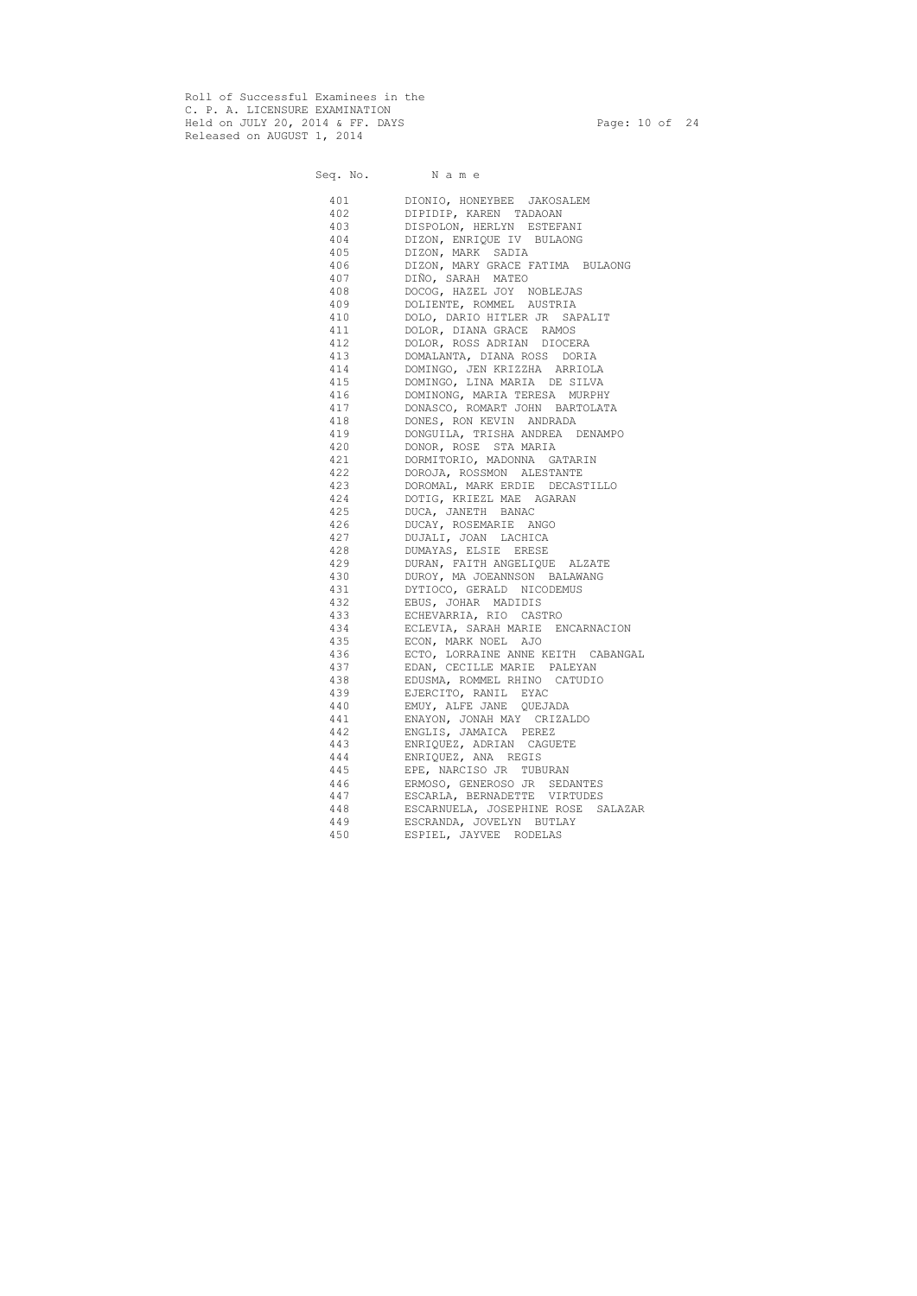Roll of Successful Examinees in the C. P. A. LICENSURE EXAMINATION Held on JULY 20, 2014 & FF. DAYS Page: 10 of 24 Released on AUGUST 1, 2014

Seq. No. Name 401 DIONIO, HONEYBEE JAKOSALEM 402 DIPIDIP, KAREN TADAOAN 403 DISPOLON, HERLYN ESTEFANI 404 DIZON, ENRIQUE IV BULAONG 405 DIZON, MARK SADIA 406 DIZON, MARY GRACE FATIMA BULAONG 407 DIÑO, SARAH MATEO 408 DOCOG, HAZEL JOY NOBLEJAS 409 DOLIENTE, ROMMEL AUSTRIA 410 DOLO, DARIO HITLER JR SAPALIT 411 DOLOR, DIANA GRACE RAMOS 412 DOLOR, ROSS ADRIAN DIOCERA 413 DOMALANTA, DIANA ROSS DORIA 414 DOMINGO, JEN KRIZZHA ARRIOLA 415 DOMINGO, LINA MARIA DE SILVA 416 DOMINONG, MARIA TERESA MURPHY 417 DONASCO, ROMART JOHN BARTOLATA 418 DONES, RON KEVIN ANDRADA 419 DONGUILA, TRISHA ANDREA DENAMPO 420 DONOR, ROSE STA MARIA 421 DORMITORIO, MADONNA GATARIN 422 DOROJA, ROSSMON ALESTANTE 423 DOROMAL, MARK ERDIE DECASTILLO 424 DOTIG, KRIEZL MAE AGARAN 425 DUCA, JANETH BANAC 426 DUCAY, ROSEMARIE ANGO 427 DUJALI, JOAN LACHICA 428 DUMAYAS, ELSIE ERESE 429 DURAN, FAITH ANGELIQUE ALZATE 430 DUROY, MA JOEANNSON BALAWANG 431 DYTIOCO, GERALD NICODEMUS 432 EBUS, JOHAR MADIDIS 433 ECHEVARRIA, RIO CASTRO 434 ECLEVIA, SARAH MARIE ENCARNACION 435 ECON, MARK NOEL AJO 436 ECTO, LORRAINE ANNE KEITH CABANGAL 437 EDAN, CECILLE MARIE PALEYAN 438 EDUSMA, ROMMEL RHINO CATUDIO 439 EJERCITO, RANIL EYAC 440 EMUY, ALFE JANE QUEJADA 441 ENAYON, JONAH MAY CRIZALDO 442 ENGLIS, JAMAICA PEREZ 443 ENRIQUEZ, ADRIAN CAGUETE 444 ENRIQUEZ, ANA REGIS 445 EPE, NARCISO JR TUBURAN 446 ERMOSO, GENEROSO JR SEDANTES 447 ESCARLA, BERNADETTE VIRTUDES 448 ESCARNUELA, JOSEPHINE ROSE SALAZAR 449 ESCRANDA, JOVELYN BUTLAY 450 ESPIEL, JAYVEE RODELAS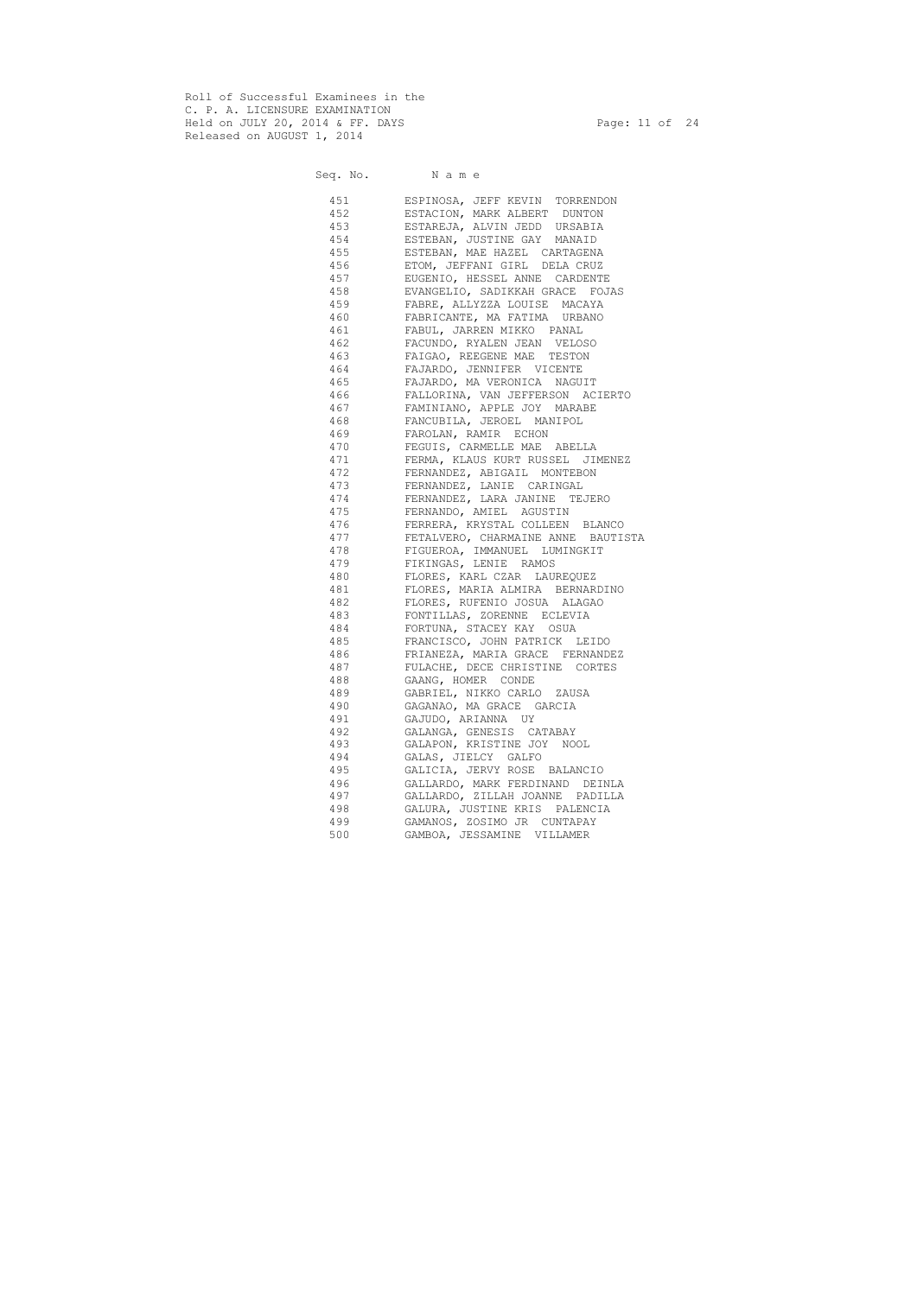Roll of Successful Examinees in the C. P. A. LICENSURE EXAMINATION Held on JULY 20, 2014 & FF. DAYS Page: 11 of 24 Released on AUGUST 1, 2014

Seq. No. Name 451 ESPINOSA, JEFF KEVIN TORRENDON 452 ESTACION, MARK ALBERT DUNTON 453 ESTAREJA, ALVIN JEDD URSABIA 454 ESTEBAN, JUSTINE GAY MANAID 455 ESTEBAN, MAE HAZEL CARTAGENA 456 ETOM, JEFFANI GIRL DELA CRUZ 457 EUGENIO, HESSEL ANNE CARDENTE 458 EVANGELIO, SADIKKAH GRACE FOJAS 459 FABRE, ALLYZZA LOUISE MACAYA 460 FABRICANTE, MA FATIMA URBANO 461 FABUL, JARREN MIKKO PANAL 462 FACUNDO, RYALEN JEAN VELOSO 463 FAIGAO, REEGENE MAE TESTON 464 FAJARDO, JENNIFER VICENTE 465 FAJARDO, MA VERONICA NAGUIT 466 FALLORINA, VAN JEFFERSON ACIERTO 467 FAMINIANO, APPLE JOY MARABE 468 FANCUBILA, JEROEL MANIPOL 469 FAROLAN, RAMIR ECHON 470 FEGUIS, CARMELLE MAE ABELLA 471 FERMA, KLAUS KURT RUSSEL JIMENEZ 472 FERNANDEZ, ABIGAIL MONTEBON 473 FERNANDEZ, LANIE CARINGAL 474 FERNANDEZ, LARA JANINE TEJERO 475 FERNANDO, AMIEL AGUSTIN 476 FERRERA, KRYSTAL COLLEEN BLANCO 477 FETALVERO, CHARMAINE ANNE BAUTISTA 478 FIGUEROA, IMMANUEL LUMINGKIT 479 FIKINGAS, LENIE RAMOS 480 FLORES, KARL CZAR LAUREQUEZ 481 FLORES, MARIA ALMIRA BERNARDINO 482 FLORES, RUFENIO JOSUA ALAGAO 483 FONTILLAS, ZORENNE ECLEVIA 484 FORTUNA, STACEY KAY OSUA 485 FRANCISCO, JOHN PATRICK LEIDO 486 FRIANEZA, MARIA GRACE FERNANDEZ 487 FULACHE, DECE CHRISTINE CORTES 488 GAANG, HOMER CONDE 489 GABRIEL, NIKKO CARLO ZAUSA 490 GAGANAO, MA GRACE GARCIA 491 GAJUDO, ARIANNA UY 492 GALANGA, GENESIS CATABAY 493 GALAPON, KRISTINE JOY NOOL 494 GALAS, JIELCY GALFO 495 GALICIA, JERVY ROSE BALANCIO 496 GALLARDO, MARK FERDINAND DEINLA 497 GALLARDO, ZILLAH JOANNE PADILLA 498 GALURA, JUSTINE KRIS PALENCIA 499 GAMANOS, ZOSIMO JR CUNTAPAY 500 GAMBOA, JESSAMINE VILLAMER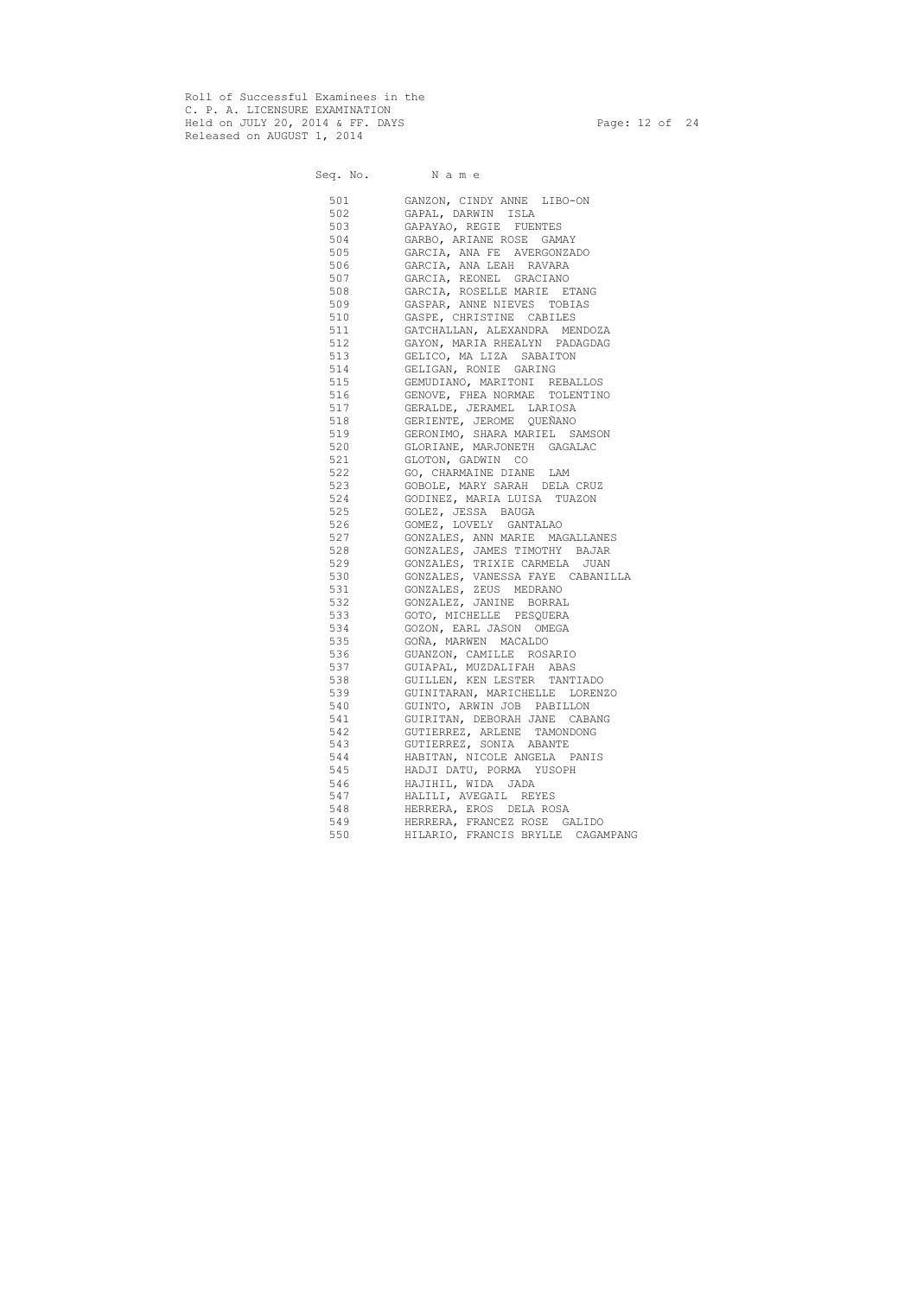Roll of Successful Examinees in the C. P. A. LICENSURE EXAMINATION Held on JULY 20, 2014 & FF. DAYS Page: 12 of 24 Released on AUGUST 1, 2014

Seq. No. Name 501 GANZON, CINDY ANNE LIBO-ON 502 GAPAL, DARWIN ISLA 503 GAPAYAO, REGIE FUENTES 504 GARBO, ARIANE ROSE GAMAY 505 GARCIA, ANA FE AVERGONZADO 506 GARCIA, ANA LEAH RAVARA 507 GARCIA, REONEL GRACIANO 508 GARCIA, ROSELLE MARIE ETANG 509 GASPAR, ANNE NIEVES TOBIAS 510 GASPE, CHRISTINE CABILES 511 GATCHALLAN, ALEXANDRA MENDOZA 512 GAYON, MARIA RHEALYN PADAGDAG 513 GELICO, MA LIZA SABAITON 514 GELIGAN, RONIE GARING 515 GEMUDIANO, MARITONI REBALLOS 516 GENOVE, FHEA NORMAE TOLENTINO 517 GERALDE, JERAMEL LARIOSA 518 GERIENTE, JEROME QUEÑANO 519 GERONIMO, SHARA MARIEL SAMSON 520 GLORIANE, MARJONETH GAGALAC 521 GLOTON, GADWIN CO 522 GO, CHARMAINE DIANE LAM 523 GOBOLE, MARY SARAH DELA CRUZ 524 GODINEZ, MARIA LUISA TUAZON 525 GOLEZ, JESSA BAUGA 526 GOMEZ, LOVELY GANTALAO 527 GONZALES, ANN MARIE MAGALLANES 528 GONZALES, JAMES TIMOTHY BAJAR 529 GONZALES, TRIXIE CARMELA JUAN 530 GONZALES, VANESSA FAYE CABANILLA 531 GONZALES, ZEUS MEDRANO 532 GONZALEZ, JANINE BORRAL 533 GOTO, MICHELLE PESQUERA 534 GOZON, EARL JASON OMEGA 535 GOÑA, MARWEN MACALDO 536 GUANZON, CAMILLE ROSARIO 537 GUIAPAL, MUZDALIFAH ABAS 538 GUILLEN, KEN LESTER TANTIADO 539 GUINITARAN, MARICHELLE LORENZO 540 GUINTO, ARWIN JOB PABILLON 541 GUIRITAN, DEBORAH JANE CABANG 542 GUTIERREZ, ARLENE TAMONDONG 543 GUTIERREZ, SONIA ABANTE 544 HABITAN, NICOLE ANGELA PANIS 545 HADJI DATU, PORMA YUSOPH 546 HAJIHIL, WIDA JADA 547 HALILI, AVEGAIL REYES 548 HERRERA, EROS DELA ROSA 549 HERRERA, FRANCEZ ROSE GALIDO 550 HILARIO, FRANCIS BRYLLE CAGAMPANG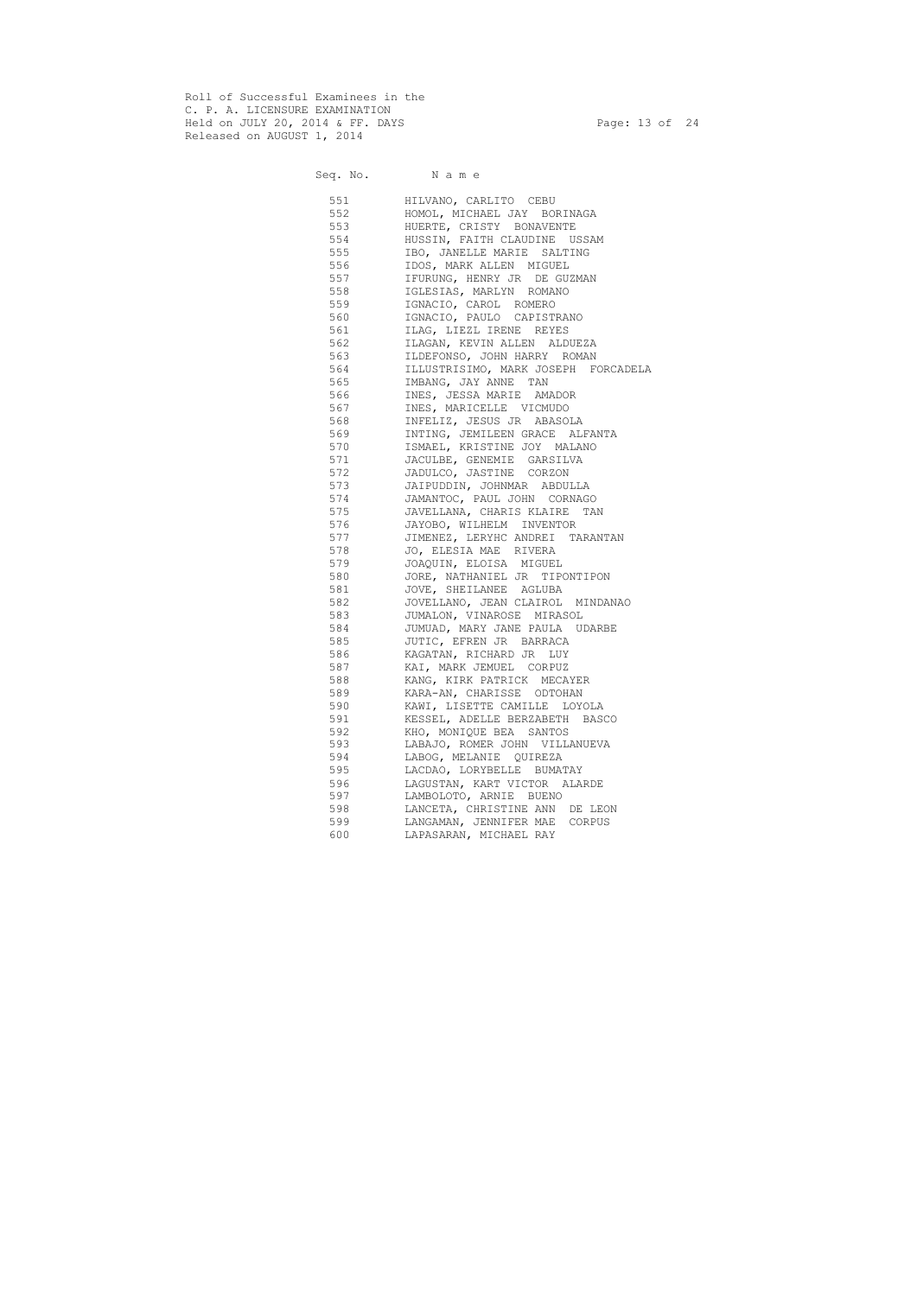Roll of Successful Examinees in the C. P. A. LICENSURE EXAMINATION Held on JULY 20, 2014 & FF. DAYS Page: 13 of 24 Released on AUGUST 1, 2014

Seq. No. Name 551 HILVANO, CARLITO CEBU 552 HOMOL, MICHAEL JAY BORINAGA 553 HUERTE, CRISTY BONAVENTE 554 HUSSIN, FAITH CLAUDINE USSAM 555 IBO, JANELLE MARIE SALTING 556 IDOS, MARK ALLEN MIGUEL 557 IFURUNG, HENRY JR DE GUZMAN 558 IGLESIAS, MARLYN ROMANO 559 IGNACIO, CAROL ROMERO 560 IGNACIO, PAULO CAPISTRANO 561 ILAG, LIEZL IRENE REYES 562 ILAGAN, KEVIN ALLEN ALDUEZA 563 ILDEFONSO, JOHN HARRY ROMAN 564 ILLUSTRISIMO, MARK JOSEPH FORCADELA 565 IMBANG, JAY ANNE TAN 566 INES, JESSA MARIE AMADOR 567 INES, MARICELLE VICMUDO 568 INFELIZ, JESUS JR ABASOLA 569 INTING, JEMILEEN GRACE ALFANTA 570 ISMAEL, KRISTINE JOY MALANO 571 JACULBE, GENEMIE GARSILVA 572 JADULCO, JASTINE CORZON 573 JAIPUDDIN, JOHNMAR ABDULLA 574 JAMANTOC, PAUL JOHN CORNAGO 575 JAVELLANA, CHARIS KLAIRE TAN 576 JAYOBO, WILHELM INVENTOR 577 JIMENEZ, LERYHC ANDREI TARANTAN 578 JO, ELESIA MAE RIVERA 579 JOAQUIN, ELOISA MIGUEL 580 JORE, NATHANIEL JR TIPONTIPON 581 JOVE, SHEILANEE AGLUBA 582 JOVELLANO, JEAN CLAIROL MINDANAO 583 JUMALON, VINAROSE MIRASOL 584 JUMUAD, MARY JANE PAULA UDARBE 585 JUTIC, EFREN JR BARRACA 586 KAGATAN, RICHARD JR LUY 587 KAI, MARK JEMUEL CORPUZ 588 KANG, KIRK PATRICK MECAYER 589 KARA-AN, CHARISSE ODTOHAN 590 KAWI, LISETTE CAMILLE LOYOLA 591 KESSEL, ADELLE BERZABETH BASCO 592 KHO, MONIQUE BEA SANTOS 593 LABAJO, ROMER JOHN VILLANUEVA 594 LABOG, MELANIE QUIREZA 595 LACDAO, LORYBELLE BUMATAY 596 LAGUSTAN, KART VICTOR ALARDE 597 LAMBOLOTO, ARNIE BUENO 598 LANCETA, CHRISTINE ANN DE LEON 599 LANGAMAN, JENNIFER MAE CORPUS 600 LAPASARAN, MICHAEL RAY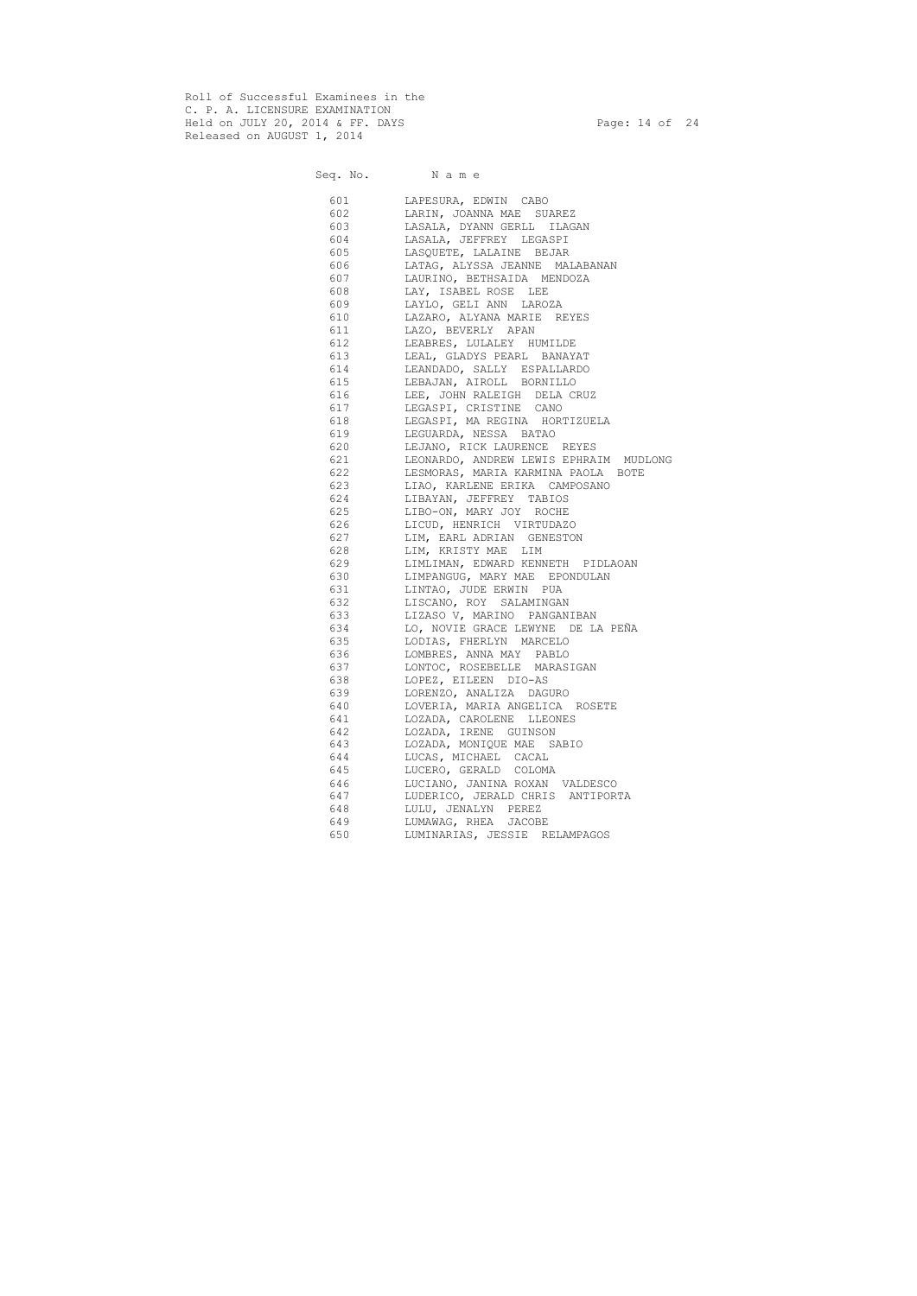Roll of Successful Examinees in the C. P. A. LICENSURE EXAMINATION Held on JULY 20, 2014 & FF. DAYS Page: 14 of 24 Released on AUGUST 1, 2014

Seq. No. Name 601 LAPESURA, EDWIN CABO 602 LARIN, JOANNA MAE SUAREZ 603 LASALA, DYANN GERLL ILAGAN 604 LASALA, JEFFREY LEGASPI 605 LASQUETE, LALAINE BEJAR 606 LATAG, ALYSSA JEANNE MALABANAN 607 LAURINO, BETHSAIDA MENDOZA 608 LAY, ISABEL ROSE LEE 609 LAYLO, GELI ANN LAROZA 610 LAZARO, ALYANA MARIE REYES 611 LAZO, BEVERLY APAN 612 LEABRES, LULALEY HUMILDE 613 LEAL, GLADYS PEARL BANAYAT 614 LEANDADO, SALLY ESPALLARDO 615 LEBAJAN, AIROLL BORNILLO 616 LEE, JOHN RALEIGH DELA CRUZ 617 LEGASPI, CRISTINE CANO 618 LEGASPI, MA REGINA HORTIZUELA 619 LEGUARDA, NESSA BATAO 620 LEJANO, RICK LAURENCE REYES 621 LEONARDO, ANDREW LEWIS EPHRAIM MUDLONG 622 LESMORAS, MARIA KARMINA PAOLA BOTE 623 LIAO, KARLENE ERIKA CAMPOSANO 624 LIBAYAN, JEFFREY TABIOS 625 LIBO-ON, MARY JOY ROCHE 626 LICUD, HENRICH VIRTUDAZO 627 LIM, EARL ADRIAN GENESTON 628 LIM, KRISTY MAE LIM 629 LIMLIMAN, EDWARD KENNETH PIDLAOAN 630 LIMPANGUG, MARY MAE EPONDULAN 631 LINTAO, JUDE ERWIN PUA 632 LISCANO, ROY SALAMINGAN 633 LIZASO V, MARINO PANGANIBAN 634 LO, NOVIE GRACE LEWYNE DE LA PEÑA 635 LODIAS, FHERLYN MARCELO 636 LOMBRES, ANNA MAY PABLO 637 LONTOC, ROSEBELLE MARASIGAN 638 LOPEZ, EILEEN DIO-AS 639 LORENZO, ANALIZA DAGURO 640 LOVERIA, MARIA ANGELICA ROSETE 641 LOZADA, CAROLENE LLEONES 642 LOZADA, IRENE GUINSON 643 LOZADA, MONIQUE MAE SABIO 644 LUCAS, MICHAEL CACAL 645 LUCERO, GERALD COLOMA 646 LUCIANO, JANINA ROXAN VALDESCO 647 LUDERICO, JERALD CHRIS ANTIPORTA 648 LULU, JENALYN PEREZ 649 LUMAWAG, RHEA JACOBE 650 LUMINARIAS, JESSIE RELAMPAGOS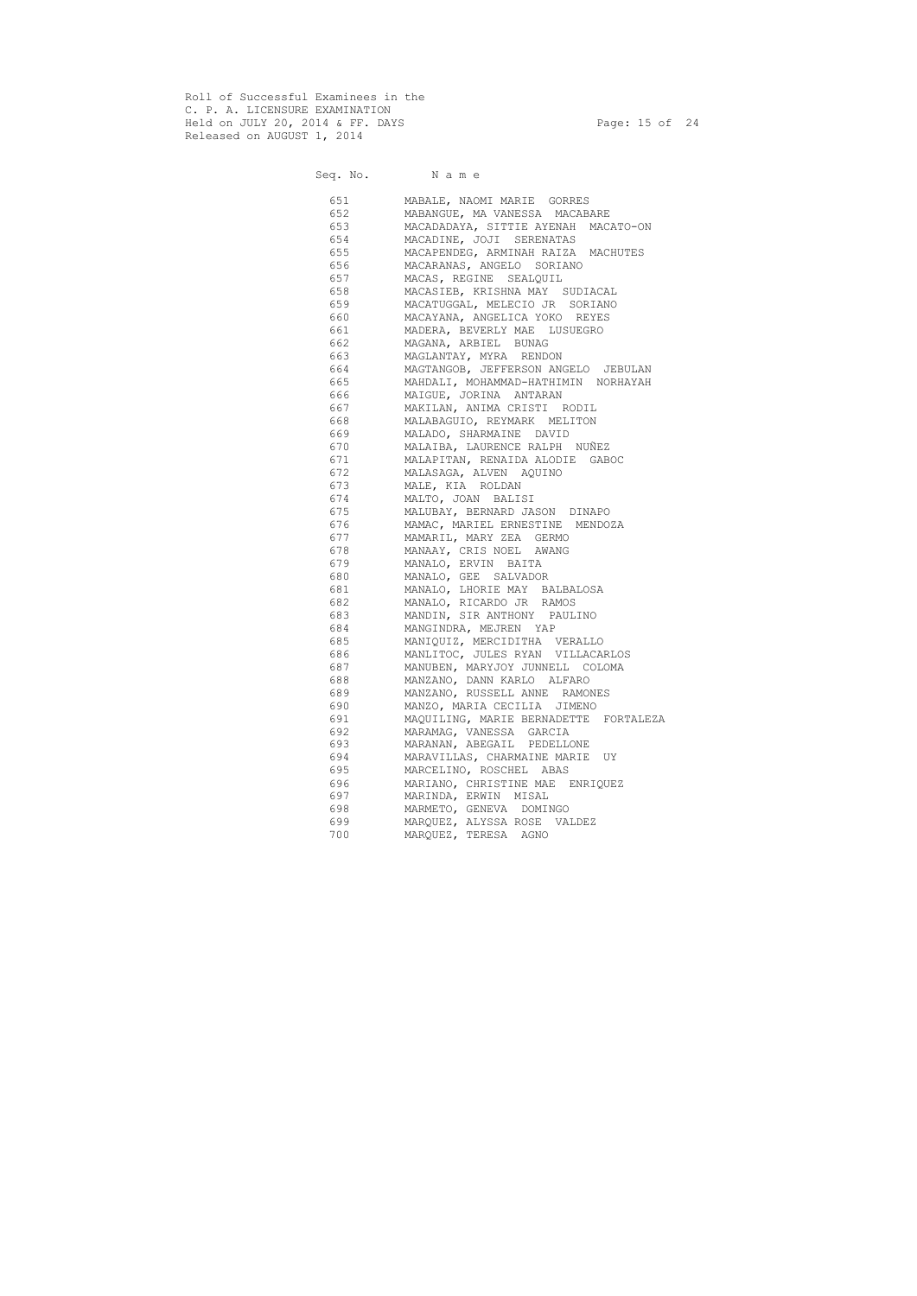Roll of Successful Examinees in the C. P. A. LICENSURE EXAMINATION Held on JULY 20, 2014 & FF. DAYS Page: 15 of 24 Released on AUGUST 1, 2014

Seq. No. Name

# 651 MABALE, NAOMI MARIE GORRES 652 MABANGUE, MA VANESSA MACABARE 653 MACADADAYA, SITTIE AYENAH MACATO-ON 654 MACADINE, JOJI SERENATAS 655 MACAPENDEG, ARMINAH RAIZA MACHUTES 656 MACARANAS, ANGELO SORIANO 657 MACAS, REGINE SEALQUIL 658 MACASIEB, KRISHNA MAY SUDIACAL 659 MACATUGGAL, MELECIO JR SORIANO 660 MACAYANA, ANGELICA YOKO REYES 661 MADERA, BEVERLY MAE LUSUEGRO 662 MAGANA, ARBIEL BUNAG 663 MAGLANTAY, MYRA RENDON 664 MAGTANGOB, JEFFERSON ANGELO JEBULAN 665 MAHDALI, MOHAMMAD-HATHIMIN NORHAYAH 666 MAIGUE, JORINA ANTARAN 667 MAKILAN, ANIMA CRISTI RODIL 668 MALABAGUIO, REYMARK MELITON 669 MALADO, SHARMAINE DAVID 670 MALAIBA, LAURENCE RALPH NUÑEZ 671 MALAPITAN, RENAIDA ALODIE GABOC 672 MALASAGA, ALVEN AQUINO 673 MALE, KIA ROLDAN 674 MALTO, JOAN BALISI 675 MALUBAY, BERNARD JASON DINAPO 676 MAMAC, MARIEL ERNESTINE MENDOZA 677 MAMARIL, MARY ZEA GERMO 678 MANAAY, CRIS NOEL AWANG 679 MANALO, ERVIN BAITA 680 MANALO, GEE SALVADOR 681 MANALO, LHORIE MAY BALBALOSA 682 MANALO, RICARDO JR RAMOS 683 MANDIN, SIR ANTHONY PAULINO 684 MANGINDRA, MEJREN YAP 685 MANIQUIZ, MERCIDITHA VERALLO 686 MANLITOC, JULES RYAN VILLACARLOS 687 MANUBEN, MARYJOY JUNNELL COLOMA 688 MANZANO, DANN KARLO ALFARO 689 MANZANO, RUSSELL ANNE RAMONES 690 MANZO, MARIA CECILIA JIMENO 691 MAQUILING, MARIE BERNADETTE FORTALEZA 692 MARAMAG, VANESSA GARCIA 693 MARANAN, ABEGAIL PEDELLONE 694 MARAVILLAS, CHARMAINE MARIE UY 695 MARCELINO, ROSCHEL ABAS 696 MARIANO, CHRISTINE MAE ENRIQUEZ 697 MARINDA, ERWIN MISAL 698 MARMETO, GENEVA DOMINGO 699 MARQUEZ, ALYSSA ROSE VALDEZ 700 MARQUEZ, TERESA AGNO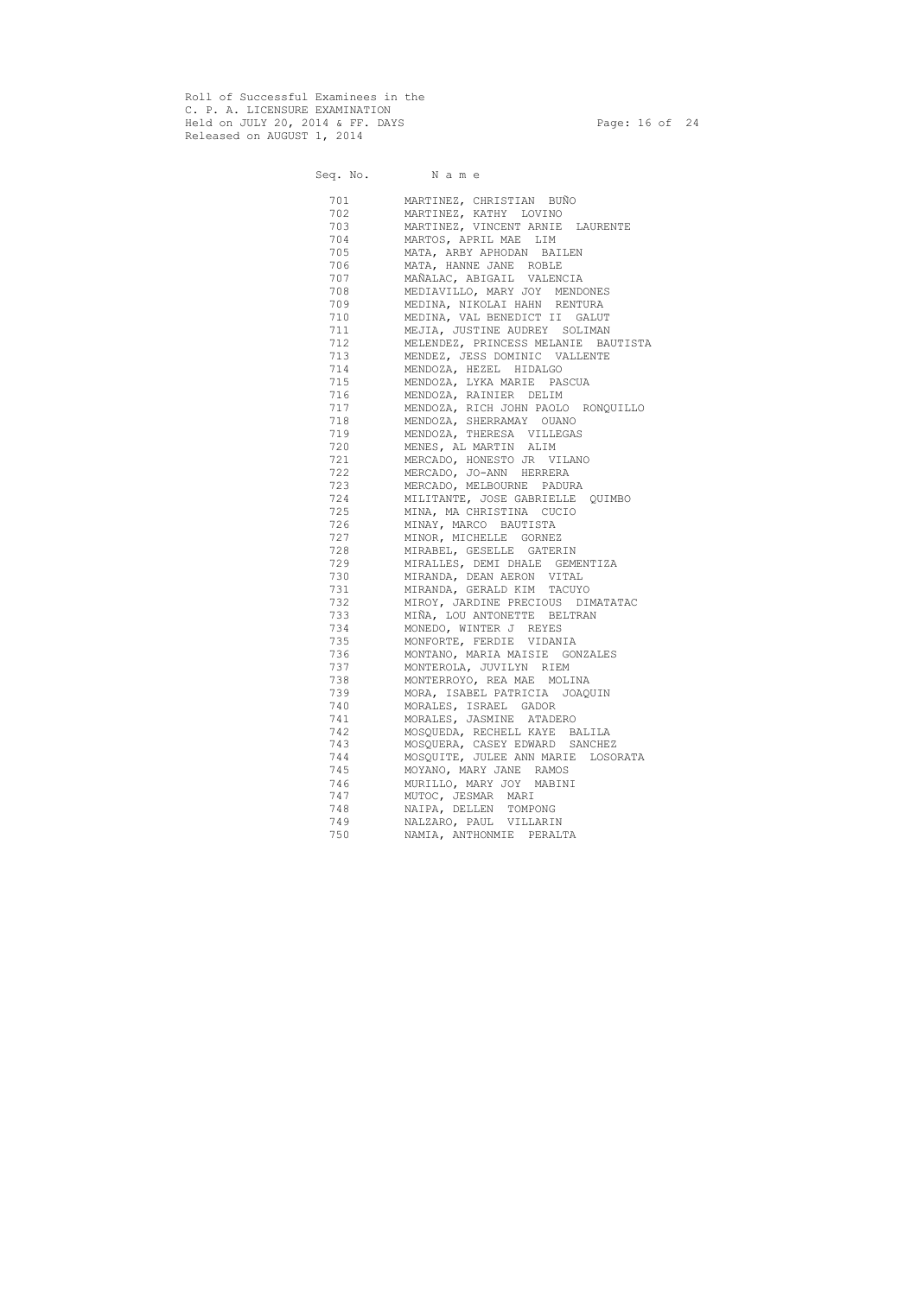Roll of Successful Examinees in the C. P. A. LICENSURE EXAMINATION Held on JULY 20, 2014 & FF. DAYS Page: 16 of 24 Released on AUGUST 1, 2014

Seq. No. Name 701 MARTINEZ, CHRISTIAN BUÑO 702 MARTINEZ, KATHY LOVINO 703 MARTINEZ, VINCENT ARNIE LAURENTE 704 MARTOS, APRIL MAE LIM 705 MATA, ARBY APHODAN BAILEN 706 MATA, HANNE JANE ROBLE 707 MAÑALAC, ABIGAIL VALENCIA 708 MEDIAVILLO, MARY JOY MENDONES 709 MEDINA, NIKOLAI HAHN RENTURA 710 MEDINA, VAL BENEDICT II GALUT 711 MEJIA, JUSTINE AUDREY SOLIMAN 712 MELENDEZ, PRINCESS MELANIE BAUTISTA 713 MENDEZ, JESS DOMINIC VALLENTE 714 MENDOZA, HEZEL HIDALGO 715 MENDOZA, LYKA MARIE PASCUA 716 MENDOZA, RAINIER DELIM 717 MENDOZA, RICH JOHN PAOLO RONQUILLO 718 MENDOZA, SHERRAMAY OUANO 719 MENDOZA, THERESA VILLEGAS 720 MENES, AL MARTIN ALIM 721 MERCADO, HONESTO JR VILANO 722 MERCADO, JO-ANN HERRERA 723 MERCADO, MELBOURNE PADURA 724 MILITANTE, JOSE GABRIELLE QUIMBO 725 MINA, MA CHRISTINA CUCIO 726 MINAY, MARCO BAUTISTA 727 MINOR, MICHELLE GORNEZ 728 MIRABEL, GESELLE GATERIN 729 MIRALLES, DEMI DHALE GEMENTIZA 730 MIRANDA, DEAN AERON VITAL 731 MIRANDA, GERALD KIM TACUYO 732 MIROY, JARDINE PRECIOUS DIMATATAC 733 MIÑA, LOU ANTONETTE BELTRAN 734 MONEDO, WINTER J REYES 735 MONFORTE, FERDIE VIDANIA 736 MONTANO, MARIA MAISIE GONZALES 737 MONTEROLA, JUVILYN RIEM 738 MONTERROYO, REA MAE MOLINA 739 MORA, ISABEL PATRICIA JOAQUIN 740 MORALES, ISRAEL GADOR 741 MORALES, JASMINE ATADERO 742 MOSQUEDA, RECHELL KAYE BALILA 743 MOSQUERA, CASEY EDWARD SANCHEZ 744 MOSQUITE, JULEE ANN MARIE LOSORATA 745 MOYANO, MARY JANE RAMOS 746 MURILLO, MARY JOY MABINI 747 MUTOC, JESMAR MARI 748 NAIPA, DELLEN TOMPONG 749 NALZARO, PAUL VILLARIN 750 NAMIA, ANTHONMIE PERALTA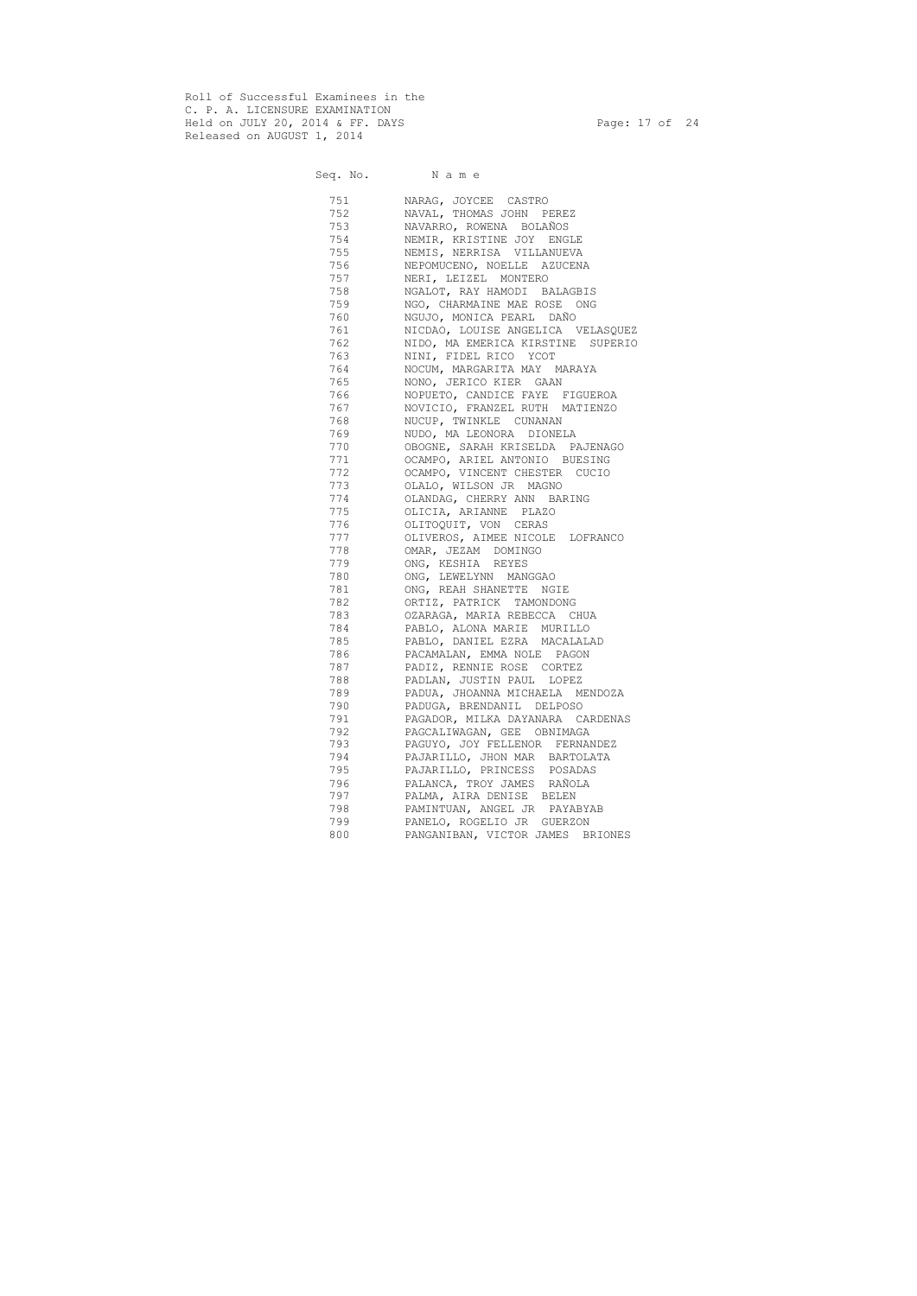Roll of Successful Examinees in the C. P. A. LICENSURE EXAMINATION Held on JULY 20, 2014 & FF. DAYS Page: 17 of 24 Released on AUGUST 1, 2014

Seq. No. Name 751 NARAG, JOYCEE CASTRO 752 NAVAL, THOMAS JOHN PEREZ 753 NAVARRO, ROWENA BOLAÑOS 754 NEMIR, KRISTINE JOY ENGLE 755 NEMIS, NERRISA VILLANUEVA 756 NEPOMUCENO, NOELLE AZUCENA 757 NERI, LEIZEL MONTERO 758 NGALOT, RAY HAMODI BALAGBIS 759 NGO, CHARMAINE MAE ROSE ONG 760 NGUJO, MONICA PEARL DAÑO 761 NICDAO, LOUISE ANGELICA VELASQUEZ 762 NIDO, MA EMERICA KIRSTINE SUPERIO 763 NINI, FIDEL RICO YCOT 764 NOCUM, MARGARITA MAY MARAYA 765 NONO, JERICO KIER GAAN 766 NOPUETO, CANDICE FAYE FIGUEROA 767 NOVICIO, FRANZEL RUTH MATIENZO 768 NUCUP, TWINKLE CUNANAN 769 NUDO, MA LEONORA DIONELA 770 OBOGNE, SARAH KRISELDA PAJENAGO 771 OCAMPO, ARIEL ANTONIO BUESING 772 OCAMPO, VINCENT CHESTER CUCIO 773 OLALO, WILSON JR MAGNO 774 OLANDAG, CHERRY ANN BARING 775 OLICIA, ARIANNE PLAZO 776 OLITOQUIT, VON CERAS 777 OLIVEROS, AIMEE NICOLE LOFRANCO 778 OMAR, JEZAM DOMINGO 779 ONG, KESHIA REYES 780 ONG, LEWELYNN MANGGAO 781 ONG, REAH SHANETTE NGIE 782 ORTIZ, PATRICK TAMONDONG 783 OZARAGA, MARIA REBECCA CHUA 784 PABLO, ALONA MARIE MURILLO 785 PABLO, DANIEL EZRA MACALALAD 786 PACAMALAN, EMMA NOLE PAGON 787 PADIZ, RENNIE ROSE CORTEZ 788 PADLAN, JUSTIN PAUL LOPEZ 789 PADUA, JHOANNA MICHAELA MENDOZA 790 PADUGA, BRENDANIL DELPOSO 791 PAGADOR, MILKA DAYANARA CARDENAS 792 PAGCALIWAGAN, GEE OBNIMAGA 793 PAGUYO, JOY FELLENOR FERNANDEZ 794 PAJARILLO, JHON MAR BARTOLATA 795 PAJARILLO, PRINCESS POSADAS 796 PALANCA, TROY JAMES RAÑOLA 797 PALMA, AIRA DENISE BELEN 798 PAMINTUAN, ANGEL JR PAYABYAB 799 PANELO, ROGELIO JR GUERZON 800 PANGANIBAN, VICTOR JAMES BRIONES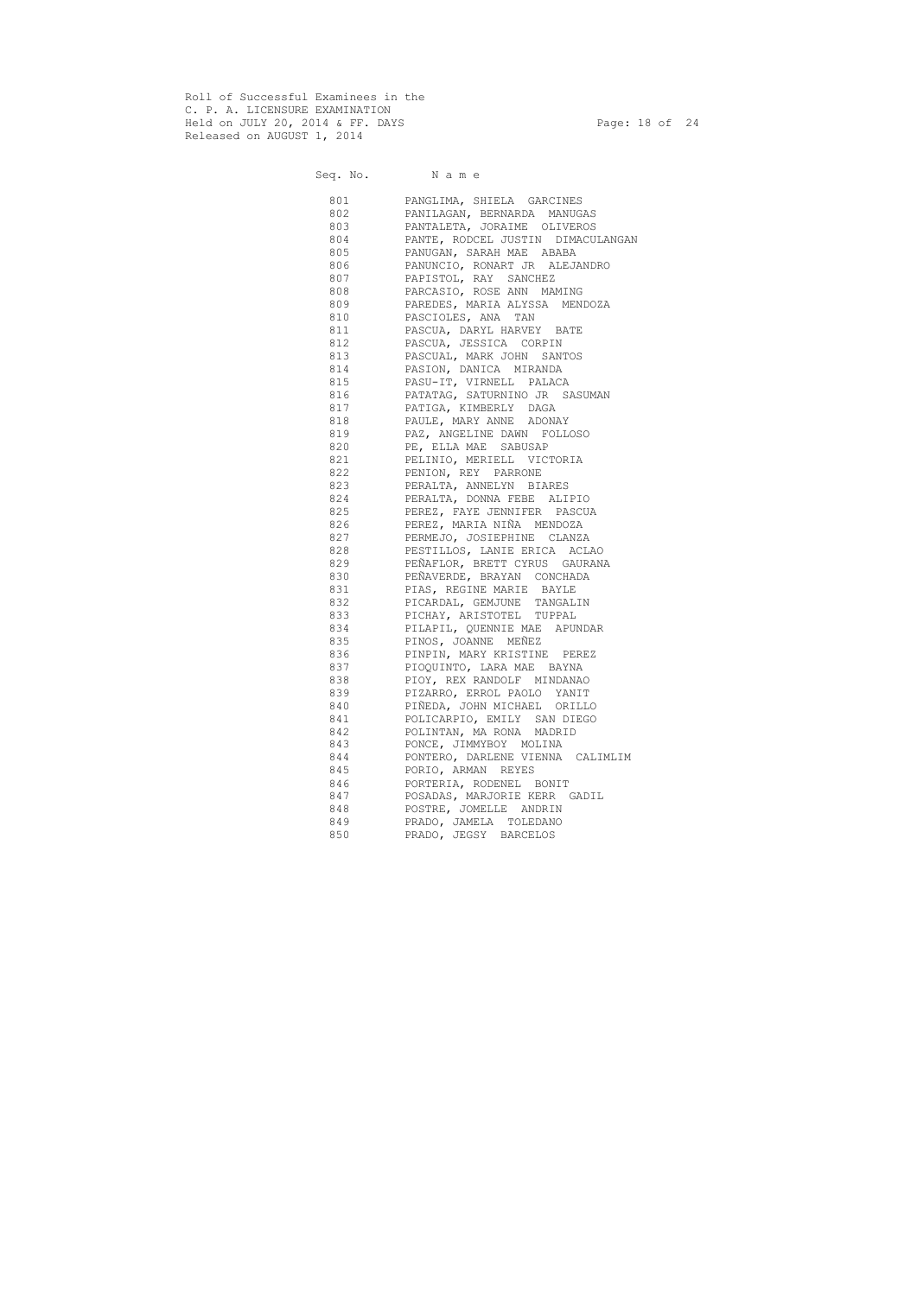Roll of Successful Examinees in the C. P. A. LICENSURE EXAMINATION Held on JULY 20, 2014 & FF. DAYS Page: 18 of 24 Released on AUGUST 1, 2014

Seq. No. Name

 801 PANGLIMA, SHIELA GARCINES 802 PANILAGAN, BERNARDA MANUGAS 803 PANTALETA, JORAIME OLIVEROS 804 PANTE, RODCEL JUSTIN DIMACULANGAN 805 PANUGAN, SARAH MAE ABABA 806 PANUNCIO, RONART JR ALEJANDRO 807 PAPISTOL, RAY SANCHEZ 808 PARCASIO, ROSE ANN MAMING 809 PAREDES, MARIA ALYSSA MENDOZA 810 PASCIOLES, ANA TAN 811 PASCUA, DARYL HARVEY BATE 812 PASCUA, JESSICA CORPIN 813 PASCUAL, MARK JOHN SANTOS 814 PASION, DANICA MIRANDA 815 PASU-IT, VIRNELL PALACA 816 PATATAG, SATURNINO JR SASUMAN 817 PATIGA, KIMBERLY DAGA 818 PAULE, MARY ANNE ADONAY 819 PAZ, ANGELINE DAWN FOLLOSO 820 PE, ELLA MAE SABUSAP 821 PELINIO, MERIELL VICTORIA 822 PENION, REY PARRONE 823 PERALTA, ANNELYN BIARES 824 PERALTA, DONNA FEBE ALIPIO 825 PEREZ, FAYE JENNIFER PASCUA 826 PEREZ, MARIA NIÑA MENDOZA 827 PERMEJO, JOSIEPHINE CLANZA 828 PESTILLOS, LANIE ERICA ACLAO 829 PEÑAFLOR, BRETT CYRUS GAURANA 830 PEÑAVERDE, BRAYAN CONCHADA 831 PIAS, REGINE MARIE BAYLE 832 PICARDAL, GEMJUNE TANGALIN 833 PICHAY, ARISTOTEL TUPPAL 834 PILAPIL, QUENNIE MAE APUNDAR 835 PINOS, JOANNE MEÑEZ 836 PINPIN, MARY KRISTINE PEREZ 837 PIOQUINTO, LARA MAE BAYNA 838 PIOY, REX RANDOLF MINDANAO 839 PIZARRO, ERROL PAOLO YANIT 840 PIÑEDA, JOHN MICHAEL ORILLO 841 POLICARPIO, EMILY SAN DIEGO 842 POLINTAN, MA RONA MADRID 843 PONCE, JIMMYBOY MOLINA 844 PONTERO, DARLENE VIENNA CALIMLIM 845 PORIO, ARMAN REYES 846 PORTERIA, RODENEL BONIT 847 POSADAS, MARJORIE KERR GADIL 848 POSTRE, JOMELLE ANDRIN 849 PRADO, JAMELA TOLEDANO 850 PRADO, JEGSY BARCELOS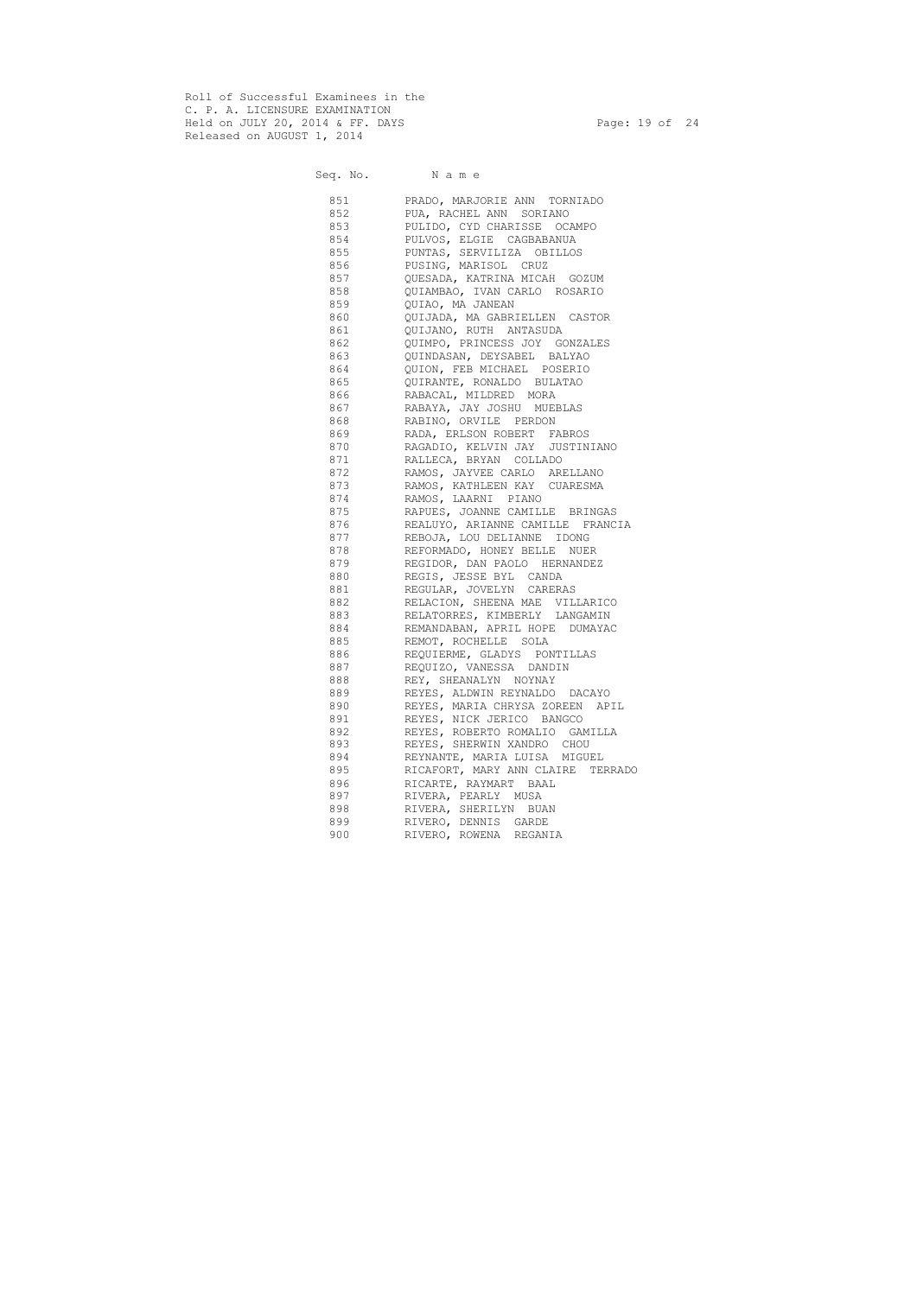Roll of Successful Examinees in the C. P. A. LICENSURE EXAMINATION Held on JULY 20, 2014 & FF. DAYS Page: 19 of 24 Released on AUGUST 1, 2014

Seq. No. Name 851 PRADO, MARJORIE ANN TORNIADO 852 PUA, RACHEL ANN SORIANO 853 PULIDO, CYD CHARISSE OCAMPO 854 PULVOS, ELGIE CAGBABANUA 855 PUNTAS, SERVILIZA OBILLOS 856 PUSING, MARISOL CRUZ 857 QUESADA, KATRINA MICAH GOZUM 858 QUIAMBAO, IVAN CARLO ROSARIO 859 QUIAO, MA JANEAN 860 QUIJADA, MA GABRIELLEN CASTOR 861 QUIJANO, RUTH ANTASUDA 862 QUIMPO, PRINCESS JOY GONZALES 863 QUINDASAN, DEYSABEL BALYAO 864 QUION, FEB MICHAEL POSERIO 865 QUIRANTE, RONALDO BULATAO 866 RABACAL, MILDRED MORA 867 RABAYA, JAY JOSHU MUEBLAS 868 RABINO, ORVILE PERDON 869 RADA, ERLSON ROBERT FABROS 870 RAGADIO, KELVIN JAY JUSTINIANO 871 RALLECA, BRYAN COLLADO 872 RAMOS, JAYVEE CARLO ARELLANO 873 RAMOS, KATHLEEN KAY CUARESMA 874 RAMOS, LAARNI PIANO 875 RAPUES, JOANNE CAMILLE BRINGAS 876 REALUYO, ARIANNE CAMILLE FRANCIA 877 REBOJA, LOU DELIANNE IDONG 878 REFORMADO, HONEY BELLE NUER 879 REGIDOR, DAN PAOLO HERNANDEZ 880 REGIS, JESSE BYL CANDA 881 REGULAR, JOVELYN CARERAS 882 RELACION, SHEENA MAE VILLARICO 883 RELATORRES, KIMBERLY LANGAMIN 884 REMANDABAN, APRIL HOPE DUMAYAC 885 REMOT, ROCHELLE SOLA 886 REQUIERME, GLADYS PONTILLAS 887 REQUIZO, VANESSA DANDIN 888 REY, SHEANALYN NOYNAY 889 REYES, ALDWIN REYNALDO DACAYO 890 REYES, MARIA CHRYSA ZOREEN APIL 891 REYES, NICK JERICO BANGCO 892 REYES, ROBERTO ROMALIO GAMILLA 893 REYES, SHERWIN XANDRO CHOU 894 REYNANTE, MARIA LUISA MIGUEL 895 RICAFORT, MARY ANN CLAIRE TERRADO 896 RICARTE, RAYMART BAAL 897 RIVERA, PEARLY MUSA 898 RIVERA, SHERILYN BUAN 899 RIVERO, DENNIS GARDE 900 RIVERO, ROWENA REGANIA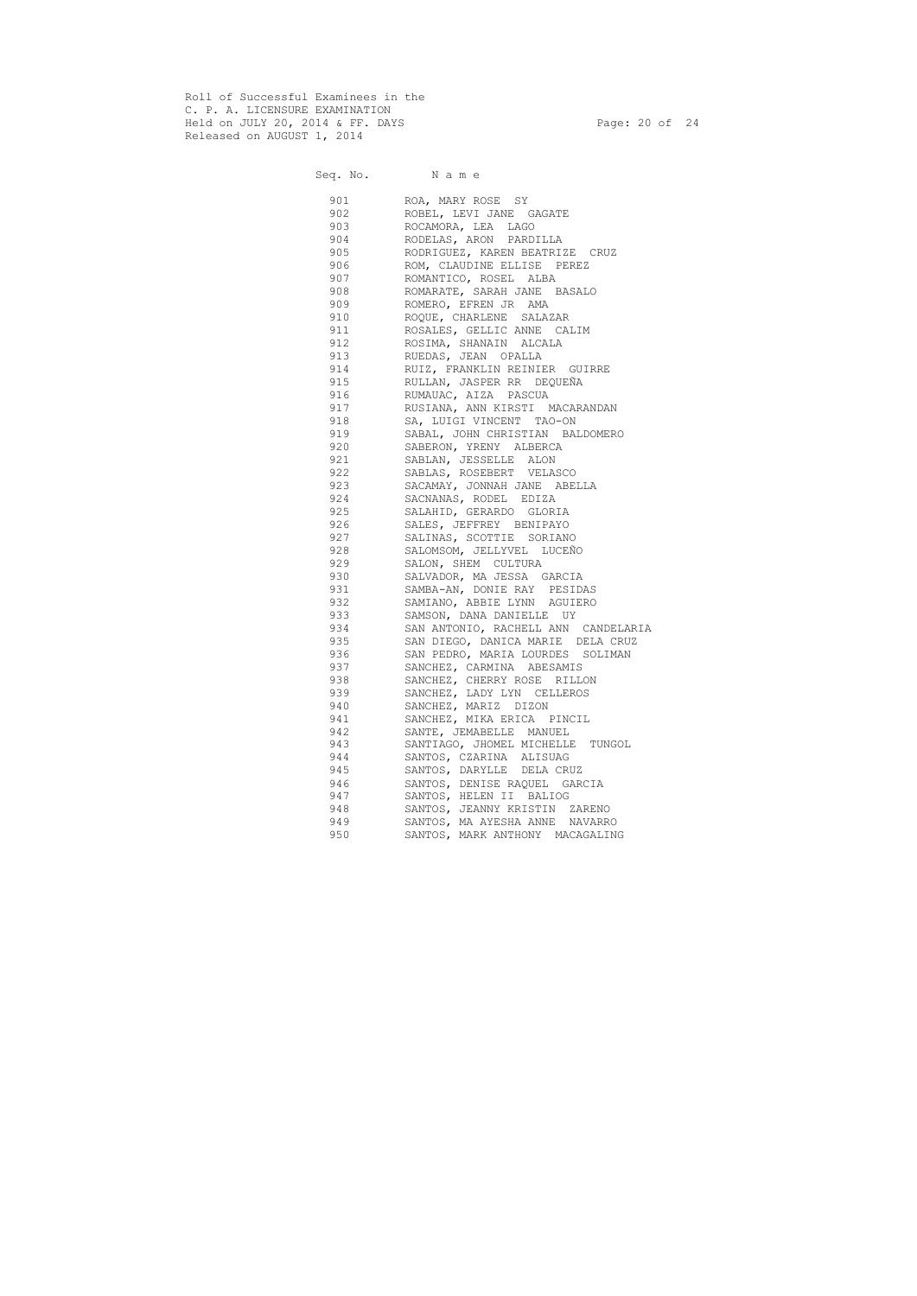Roll of Successful Examinees in the C. P. A. LICENSURE EXAMINATION Held on JULY 20, 2014 & FF. DAYS Page: 20 of 24 Released on AUGUST 1, 2014

Seq. No. Name 901 ROA, MARY ROSE SY 902 ROBEL, LEVI JANE GAGATE 903 ROCAMORA, LEA LAGO 904 RODELAS, ARON PARDILLA 905 RODRIGUEZ, KAREN BEATRIZE CRUZ 906 ROM, CLAUDINE ELLISE PEREZ 907 ROMANTICO, ROSEL ALBA 908 ROMARATE, SARAH JANE BASALO 909 ROMERO, EFREN JR AMA 910 ROQUE, CHARLENE SALAZAR 911 ROSALES, GELLIC ANNE CALIM 912 ROSIMA, SHANAIN ALCALA 913 RUEDAS, JEAN OPALLA 914 RUIZ, FRANKLIN REINIER GUIRRE 915 RULLAN, JASPER RR DEQUEÑA 916 RUMAUAC, AIZA PASCUA 917 RUSIANA, ANN KIRSTI MACARANDAN 918 SA, LUIGI VINCENT TAO-ON 919 SABAL, JOHN CHRISTIAN BALDOMERO 920 SABERON, YRENY ALBERCA 921 SABLAN, JESSELLE ALON 922 SABLAS, ROSEBERT VELASCO 923 SACAMAY, JONNAH JANE ABELLA 924 SACNANAS, RODEL EDIZA 925 SALAHID, GERARDO GLORIA 926 SALES, JEFFREY BENIPAYO 927 SALINAS, SCOTTIE SORIANO 928 SALOMSOM, JELLYVEL LUCEÑO 929 SALON, SHEM CULTURA 930 SALVADOR, MA JESSA GARCIA 931 SAMBA-AN, DONIE RAY PESIDAS 932 SAMIANO, ABBIE LYNN AGUIERO 933 SAMSON, DANA DANIELLE UY 934 SAN ANTONIO, RACHELL ANN CANDELARIA 935 SAN DIEGO, DANICA MARIE DELA CRUZ 936 SAN PEDRO, MARIA LOURDES SOLIMAN 937 SANCHEZ, CARMINA ABESAMIS 938 SANCHEZ, CHERRY ROSE RILLON 939 SANCHEZ, LADY LYN CELLEROS 940 SANCHEZ, MARIZ DIZON 941 SANCHEZ, MIKA ERICA PINCIL 942 SANTE, JEMABELLE MANUEL 943 SANTIAGO, JHOMEL MICHELLE TUNGOL 944 SANTOS, CZARINA ALISUAG 945 SANTOS, DARYLLE DELA CRUZ 946 SANTOS, DENISE RAQUEL GARCIA 947 SANTOS, HELEN II BALIOG 948 SANTOS, JEANNY KRISTIN ZARENO 949 SANTOS, MA AYESHA ANNE NAVARRO 950 SANTOS, MARK ANTHONY MACAGALING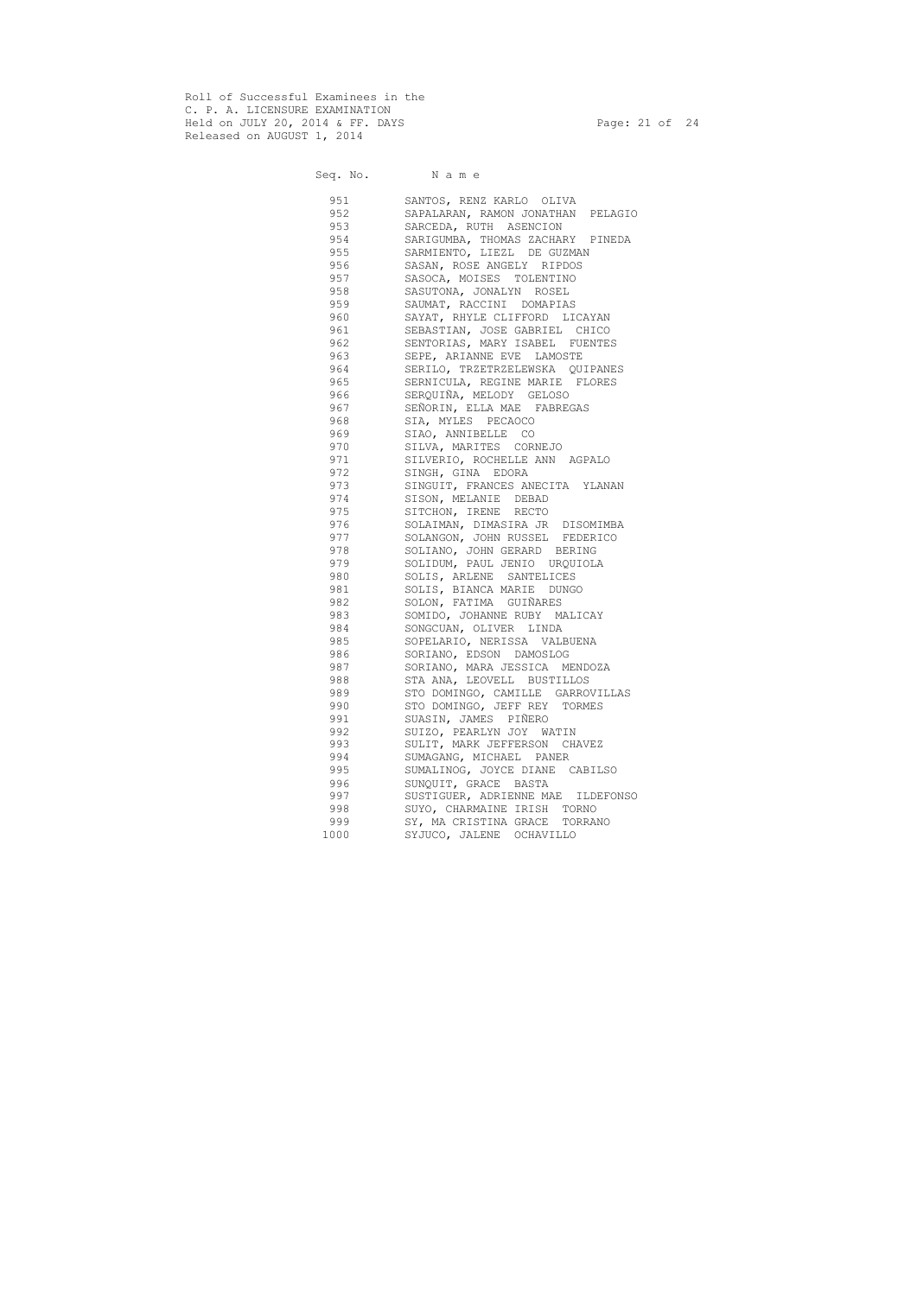Roll of Successful Examinees in the C. P. A. LICENSURE EXAMINATION Held on JULY 20, 2014 & FF. DAYS Page: 21 of 24 Released on AUGUST 1, 2014

Seq. No. Name

# 951 SANTOS, RENZ KARLO OLIVA 952 SAPALARAN, RAMON JONATHAN PELAGIO<br>953 SARCEDA, RUTH ASENCION 953 SARCEDA, RUTH ASENCION<br>954 SARIGUMBA, THOMAS ZACHAF SARIGUMBA, THOMAS ZACHARY PINEDA 955 SARMIENTO, LIEZL DE GUZMAN 956 SASAN, ROSE ANGELY RIPDOS 957 SASOCA, MOISES TOLENTINO 958 SASUTONA, JONALYN ROSEL 959 SAUMAT, RACCINI DOMAPIAS 960 SAYAT, RHYLE CLIFFORD LICAYAN 961 SEBASTIAN, JOSE GABRIEL CHICO 962 SENTORIAS, MARY ISABEL FUENTES 963 SEPE, ARIANNE EVE LAMOSTE 964 SERILO, TRZETRZELEWSKA QUIPANES 965 SERNICULA, REGINE MARIE FLORES 966 SERQUIÑA, MELODY GELOSO 967 SEÑORIN, ELLA MAE FABREGAS 968 SIA, MYLES PECAOCO 969 SIAO, ANNIBELLE CO 970 SILVA, MARITES CORNEJO 971 SILVERIO, ROCHELLE ANN AGPALO 972 SINGH, GINA EDORA 973 SINGUIT, FRANCES ANECITA YLANAN 974 SISON, MELANIE DEBAD 975 SITCHON, IRENE RECTO 976 SOLAIMAN, DIMASIRA JR DISOMIMBA 977 SOLANGON, JOHN RUSSEL FEDERICO 978 SOLIANO, JOHN GERARD BERING 979 SOLIDUM, PAUL JENIO URQUIOLA 980 SOLIS, ARLENE SANTELICES 981 SOLIS, BIANCA MARIE DUNGO 982 SOLON, FATIMA GUIÑARES 983 SOMIDO, JOHANNE RUBY MALICAY 984 SONGCUAN, OLIVER LINDA 985 SOPELARIO, NERISSA VALBUENA 986 SORIANO, EDSON DAMOSLOG 987 SORIANO, MARA JESSICA MENDOZA 988 STA ANA, LEOVELL BUSTILLOS 989 STO DOMINGO, CAMILLE GARROVILLAS 990 STO DOMINGO, JEFF REY TORMES 991 SUASIN, JAMES PIÑERO 992 SUIZO, PEARLYN JOY WATIN 993 SULIT, MARK JEFFERSON CHAVEZ 994 SUMAGANG, MICHAEL PANER 995 SUMALINOG, JOYCE DIANE CABILSO 996 SUNQUIT, GRACE BASTA 997 SUSTIGUER, ADRIENNE MAE ILDEFONSO 998 SUYO, CHARMAINE IRISH TORNO 999 SY, MA CRISTINA GRACE TORRANO 1000 SYJUCO, JALENE OCHAVILLO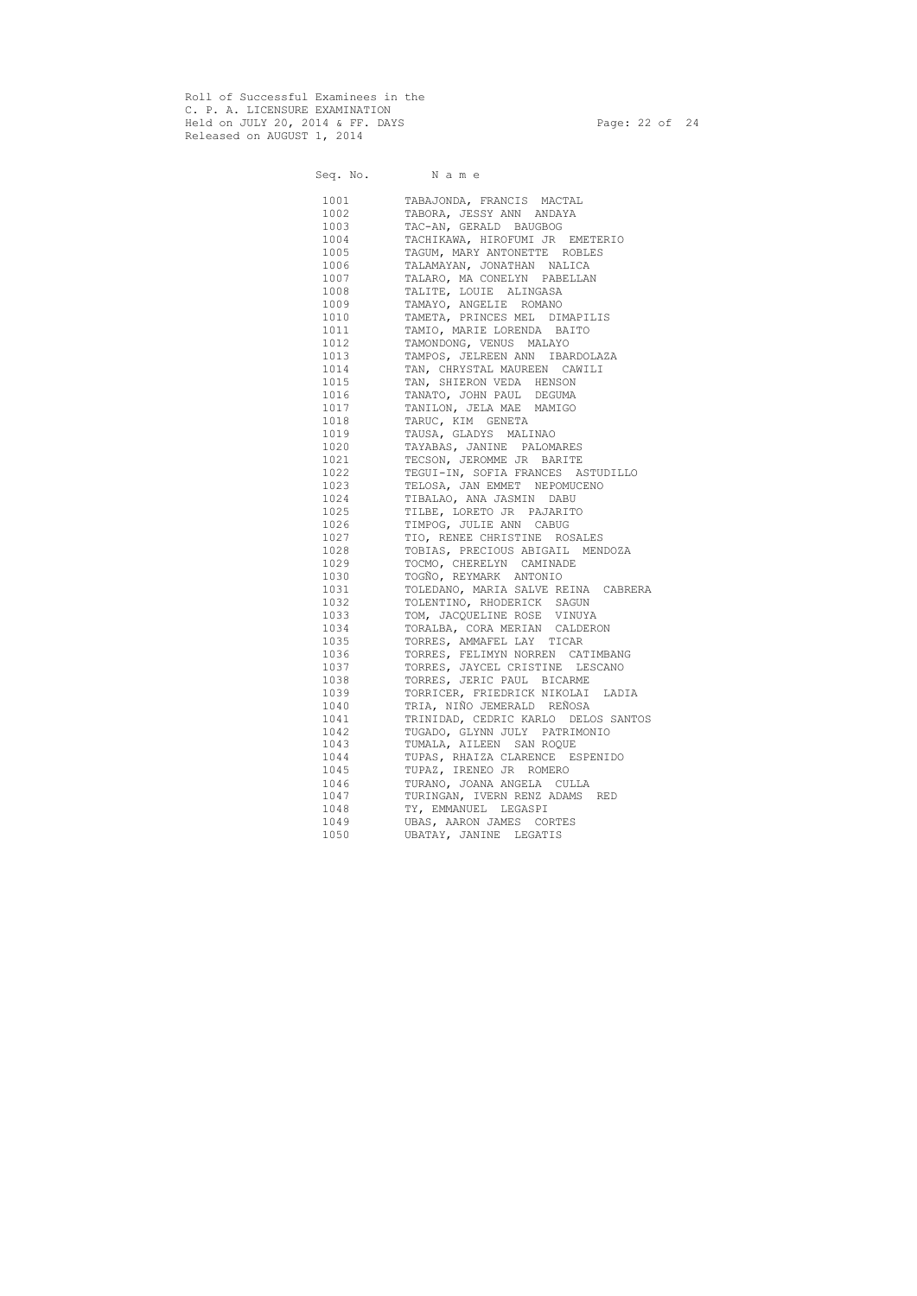Roll of Successful Examinees in the C. P. A. LICENSURE EXAMINATION Held on JULY 20, 2014 & FF. DAYS Page: 22 of 24 Released on AUGUST 1, 2014

Seq. No. Name

 1001 TABAJONDA, FRANCIS MACTAL 1002 TABORA, JESSY ANN ANDAYA 1003 TAC-AN, GERALD BAUGBOG 1004 TACHIKAWA, HIROFUMI JR EMETERIO 1005 TAGUM, MARY ANTONETTE ROBLES 1006 TALAMAYAN, JONATHAN NALICA 1007 TALARO, MA CONELYN PABELLAN 1008 TALITE, LOUIE ALINGASA 1009 TAMAYO, ANGELIE ROMANO 1010 TAMETA, PRINCES MEL DIMAPILIS 1011 TAMIO, MARIE LORENDA BAITO 1012 TAMONDONG, VENUS MALAYO 1013 TAMPOS, JELREEN ANN IBARDOLAZA 1014 TAN, CHRYSTAL MAUREEN CAWILI 1015 TAN, SHIERON VEDA HENSON 1016 TANATO, JOHN PAUL DEGUMA 1017 TANILON, JELA MAE MAMIGO 1018 TARUC, KIM GENETA 1019 TAUSA, GLADYS MALINAO 1020 TAYABAS, JANINE PALOMARES 1021 TECSON, JEROMME JR BARITE 1022 TEGUI-IN, SOFIA FRANCES ASTUDILLO 1023 TELOSA, JAN EMMET NEPOMUCENO 1024 TIBALAO, ANA JASMIN DABU 1025 TILBE, LORETO JR PAJARITO 1026 TIMPOG, JULIE ANN CABUG 1027 TIO, RENEE CHRISTINE ROSALES<br>1028 TOBIAS, PRECIOUS ABIGAIL MENI 1028 TOBIAS, PRECIOUS ABIGAIL MENDOZA 1029 TOCMO, CHERELYN CAMINADE 1030 TOGÑO, REYMARK ANTONIO 1031 TOLEDANO, MARIA SALVE REINA CABRERA 1032 TOLENTINO, RHODERICK SAGUN 1033 TOM, JACQUELINE ROSE VINUYA 1034 TORALBA, CORA MERIAN CALDERON 1035 TORRES, AMMAFEL LAY TICAR 1036 TORRES, FELIMYN NORREN CATIMBANG 1037 TORRES, JAYCEL CRISTINE LESCANO 1038 TORRES, JERIC PAUL BICARME 1039 TORRICER, FRIEDRICK NIKOLAI LADIA 1040 TRIA, NIÑO JEMERALD REÑOSA 1041 TRINIDAD, CEDRIC KARLO DELOS SANTOS 1042 TUGADO, GLYNN JULY PATRIMONIO 1043 TUMALA, AILEEN SAN ROQUE 1044 TUPAS, RHAIZA CLARENCE ESPENIDO 1045 TUPAZ, IRENEO JR ROMERO 1046 TURANO, JOANA ANGELA CULLA 1047 TURINGAN, IVERN RENZ ADAMS RED 1048 TY, EMMANUEL LEGASPI 1049 UBAS, AARON JAMES CORTES 1050 UBATAY, JANINE LEGATIS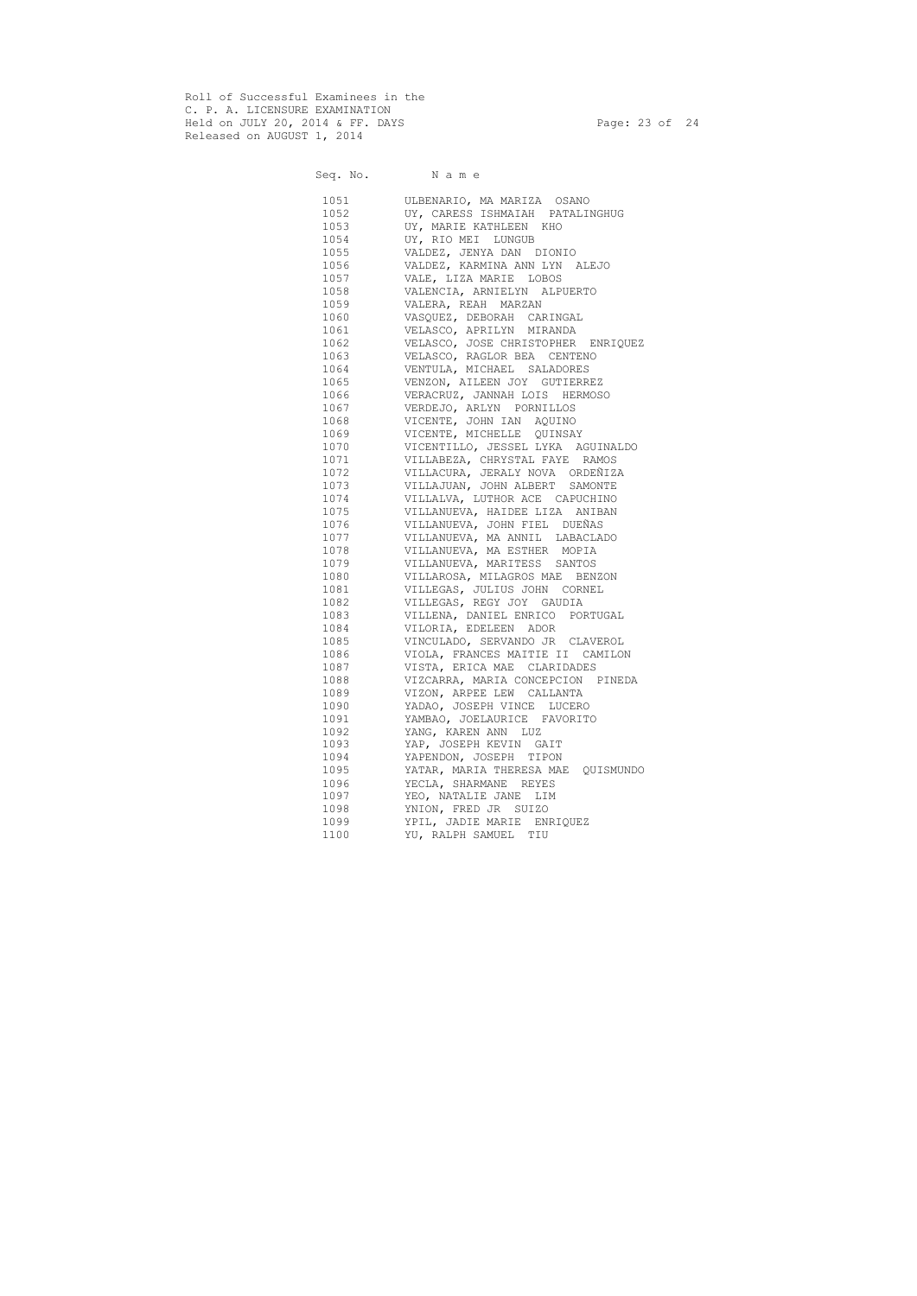Roll of Successful Examinees in the C. P. A. LICENSURE EXAMINATION Held on JULY 20, 2014 & FF. DAYS Page: 23 of 24 Released on AUGUST 1, 2014

Seq. No. Name 1051 ULBENARIO, MA MARIZA OSANO 1052 UY, CARESS ISHMAIAH PATALINGHUG 1053 UY, MARIE KATHLEEN KHO 1054 UY, RIO MEI LUNGUB 1055 VALDEZ, JENYA DAN DIONIO 1056 VALDEZ, KARMINA ANN LYN ALEJO 1057 VALE, LIZA MARIE LOBOS 1058 VALENCIA, ARNIELYN ALPUERTO 1059 VALERA, REAH MARZAN 1060 VASQUEZ, DEBORAH CARINGAL 1061 VELASCO, APRILYN MIRANDA 1062 VELASCO, JOSE CHRISTOPHER ENRIQUEZ 1063 VELASCO, RAGLOR BEA CENTENO 1064 VENTULA, MICHAEL SALADORES 1065 VENZON, AILEEN JOY GUTIERREZ 1066 VERACRUZ, JANNAH LOIS HERMOSO 1067 VERDEJO, ARLYN PORNILLOS 1068 VICENTE, JOHN IAN AQUINO 1069 VICENTE, MICHELLE QUINSAY 1070 VICENTILLO, JESSEL LYKA AGUINALDO 1071 VILLABEZA, CHRYSTAL FAYE RAMOS 1072 VILLACURA, JERALY NOVA ORDEÑIZA 1073 VILLAJUAN, JOHN ALBERT SAMONTE 1074 VILLALVA, LUTHOR ACE CAPUCHINO 1075 VILLANUEVA, HAIDEE LIZA ANIBAN 1076 VILLANUEVA, JOHN FIEL DUEÑAS 1077 VILLANUEVA, MA ANNIL LABACLADO 1078 VILLANUEVA, MA ESTHER MOPIA 1079 VILLANUEVA, MARITESS SANTOS 1080 VILLAROSA, MILAGROS MAE BENZON 1081 VILLEGAS, JULIUS JOHN CORNEL 1082 VILLEGAS, REGY JOY GAUDIA 1083 VILLENA, DANIEL ENRICO PORTUGAL 1084 VILORIA, EDELEEN ADOR 1085 VINCULADO, SERVANDO JR CLAVEROL 1086 VIOLA, FRANCES MAITIE II CAMILON 1087 VISTA, ERICA MAE CLARIDADES 1088 VIZCARRA, MARIA CONCEPCION PINEDA 1089 VIZON, ARPEE LEW CALLANTA 1090 YADAO, JOSEPH VINCE LUCERO 1091 YAMBAO, JOELAURICE FAVORITO 1092 YANG, KAREN ANN LUZ 1093 YAP, JOSEPH KEVIN GAIT 1094 YAPENDON, JOSEPH TIPON 1095 YATAR, MARIA THERESA MAE QUISMUNDO 1096 YECLA, SHARMANE REYES 1097 YEO, NATALIE JANE LIM 1098 YNION, FRED JR SUIZO 1099 YPIL, JADIE MARIE ENRIQUEZ 1100 YU, RALPH SAMUEL TIU